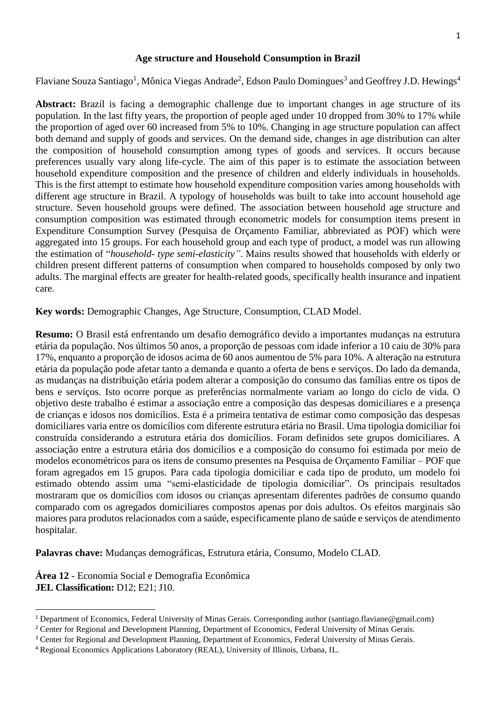#### **Age structure and Household Consumption in Brazil**

Flaviane Souza Santiago<sup>1</sup>, Mônica Viegas Andrade<sup>2</sup>, Edson Paulo Domingues<sup>3</sup> and Geoffrey J.D. Hewings<sup>4</sup>

**Abstract:** Brazil is facing a demographic challenge due to important changes in age structure of its population. In the last fifty years, the proportion of people aged under 10 dropped from 30% to 17% while the proportion of aged over 60 increased from 5% to 10%. Changing in age structure population can affect both demand and supply of goods and services. On the demand side, changes in age distribution can alter the composition of household consumption among types of goods and services. It occurs because preferences usually vary along life-cycle. The aim of this paper is to estimate the association between household expenditure composition and the presence of children and elderly individuals in households. This is the first attempt to estimate how household expenditure composition varies among households with different age structure in Brazil. A typology of households was built to take into account household age structure. Seven household groups were defined. The association between household age structure and consumption composition was estimated through econometric models for consumption items present in Expenditure Consumption Survey (Pesquisa de Orçamento Familiar, abbreviated as POF) which were aggregated into 15 groups. For each household group and each type of product, a model was run allowing the estimation of "*household- type semi-elasticity"*. Mains results showed that households with elderly or children present different patterns of consumption when compared to households composed by only two adults. The marginal effects are greater for health-related goods, specifically health insurance and inpatient care.

**Key words:** Demographic Changes, Age Structure, Consumption, CLAD Model.

**Resumo:** O Brasil está enfrentando um desafio demográfico devido a importantes mudanças na estrutura etária da população. Nos últimos 50 anos, a proporção de pessoas com idade inferior a 10 caiu de 30% para 17%, enquanto a proporção de idosos acima de 60 anos aumentou de 5% para 10%. A alteração na estrutura etária da população pode afetar tanto a demanda e quanto a oferta de bens e serviços. Do lado da demanda, as mudanças na distribuição etária podem alterar a composição do consumo das famílias entre os tipos de bens e serviços. Isto ocorre porque as preferências normalmente variam ao longo do ciclo de vida. O objetivo deste trabalho é estimar a associação entre a composição das despesas domiciliares e a presença de crianças e idosos nos domicílios. Esta é a primeira tentativa de estimar como composição das despesas domiciliares varia entre os domicílios com diferente estrutura etária no Brasil. Uma tipologia domiciliar foi construída considerando a estrutura etária dos domicílios. Foram definidos sete grupos domiciliares. A associação entre a estrutura etária dos domicílios e a composição do consumo foi estimada por meio de modelos econométricos para os itens de consumo presentes na Pesquisa de Orçamento Familiar – POF que foram agregados em 15 grupos. Para cada tipologia domiciliar e cada tipo de produto, um modelo foi estimado obtendo assim uma "semi-elasticidade de tipologia domiciliar". Os principais resultados mostraram que os domicílios com idosos ou crianças apresentam diferentes padrões de consumo quando comparado com os agregados domiciliares compostos apenas por dois adultos. Os efeitos marginais são maiores para produtos relacionados com a saúde, especificamente plano de saúde e serviços de atendimento hospitalar.

**Palavras chave:** Mudanças demográficas, Estrutura etária, Consumo, Modelo CLAD.

**Área 12** - Economia Social e Demografia Econômica **JEL Classification:** D12; E21; J10.

<sup>&</sup>lt;sup>1</sup> Department of Economics, Federal University of Minas Gerais. Corresponding author (santiago.flaviane@gmail.com)

<sup>&</sup>lt;sup>2</sup> Center for Regional and Development Planning, Department of Economics, Federal University of Minas Gerais.

<sup>&</sup>lt;sup>3</sup> Center for Regional and Development Planning, Department of Economics, Federal University of Minas Gerais.

<sup>4</sup> Regional Economics Applications Laboratory (REAL), University of Illinois, Urbana, IL.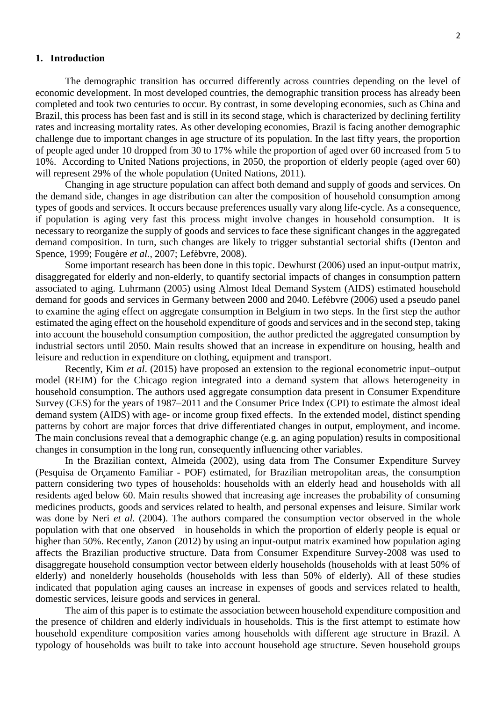#### **1. Introduction**

The demographic transition has occurred differently across countries depending on the level of economic development. In most developed countries, the demographic transition process has already been completed and took two centuries to occur. By contrast, in some developing economies, such as China and Brazil, this process has been fast and is still in its second stage, which is characterized by declining fertility rates and increasing mortality rates. As other developing economies, Brazil is facing another demographic challenge due to important changes in age structure of its population. In the last fifty years, the proportion of people aged under 10 dropped from 30 to 17% while the proportion of aged over 60 increased from 5 to 10%. According to United Nations projections, in 2050, the proportion of elderly people (aged over 60) will represent 29% of the whole population (United Nations, 2011).

Changing in age structure population can affect both demand and supply of goods and services. On the demand side, changes in age distribution can alter the composition of household consumption among types of goods and services. It occurs because preferences usually vary along life-cycle. As a consequence, if population is aging very fast this process might involve changes in household consumption. It is necessary to reorganize the supply of goods and services to face these significant changes in the aggregated demand composition. In turn, such changes are likely to trigger substantial sectorial shifts (Denton and Spence, 1999; Fougère *et al.*, 2007; Lefèbvre, 2008).

Some important research has been done in this topic. Dewhurst (2006) used an input-output matrix, disaggregated for elderly and non-elderly, to quantify sectorial impacts of changes in consumption pattern associated to aging. Luhrmann (2005) using Almost Ideal Demand System (AIDS) estimated household demand for goods and services in Germany between 2000 and 2040. Lefèbvre (2006) used a pseudo panel to examine the aging effect on aggregate consumption in Belgium in two steps. In the first step the author estimated the aging effect on the household expenditure of goods and services and in the second step, taking into account the household consumption composition, the author predicted the aggregated consumption by industrial sectors until 2050. Main results showed that an increase in expenditure on housing, health and leisure and reduction in expenditure on clothing, equipment and transport.

Recently, Kim *et al*. (2015) have proposed an extension to the regional econometric input–output model (REIM) for the Chicago region integrated into a demand system that allows heterogeneity in household consumption. The authors used aggregate consumption data present in Consumer Expenditure Survey (CES) for the years of 1987–2011 and the Consumer Price Index (CPI) to estimate the almost ideal demand system (AIDS) with age- or income group fixed effects. In the extended model, distinct spending patterns by cohort are major forces that drive differentiated changes in output, employment, and income. The main conclusions reveal that a demographic change (e.g. an aging population) results in compositional changes in consumption in the long run, consequently influencing other variables.

In the Brazilian context, Almeida (2002), using data from The Consumer Expenditure Survey (Pesquisa de Orçamento Familiar - POF) estimated, for Brazilian metropolitan areas, the consumption pattern considering two types of households: households with an elderly head and households with all residents aged below 60. Main results showed that increasing age increases the probability of consuming medicines products, goods and services related to health, and personal expenses and leisure. Similar work was done by Neri *et al.* (2004). The authors compared the consumption vector observed in the whole population with that one observed in households in which the proportion of elderly people is equal or higher than 50%. Recently, Zanon (2012) by using an input-output matrix examined how population aging affects the Brazilian productive structure. Data from Consumer Expenditure Survey-2008 was used to disaggregate household consumption vector between elderly households (households with at least 50% of elderly) and nonelderly households (households with less than 50% of elderly). All of these studies indicated that population aging causes an increase in expenses of goods and services related to health, domestic services, leisure goods and services in general.

The aim of this paper is to estimate the association between household expenditure composition and the presence of children and elderly individuals in households. This is the first attempt to estimate how household expenditure composition varies among households with different age structure in Brazil. A typology of households was built to take into account household age structure. Seven household groups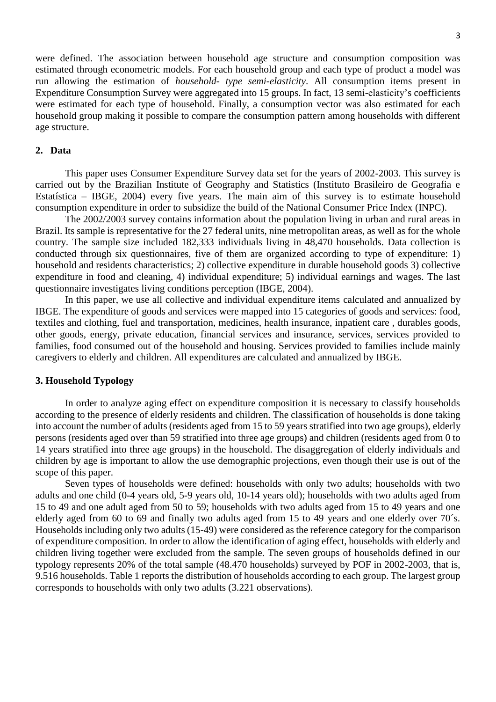were defined. The association between household age structure and consumption composition was estimated through econometric models. For each household group and each type of product a model was run allowing the estimation of *household- type semi-elasticity*. All consumption items present in Expenditure Consumption Survey were aggregated into 15 groups. In fact, 13 semi-elasticity's coefficients were estimated for each type of household. Finally, a consumption vector was also estimated for each household group making it possible to compare the consumption pattern among households with different age structure.

### **2. Data**

This paper uses Consumer Expenditure Survey data set for the years of 2002-2003. This survey is carried out by the Brazilian Institute of Geography and Statistics (Instituto Brasileiro de Geografia e Estatística – IBGE, 2004) every five years. The main aim of this survey is to estimate household consumption expenditure in order to subsidize the build of the National Consumer Price Index (INPC).

The 2002/2003 survey contains information about the population living in urban and rural areas in Brazil. Its sample is representative for the 27 federal units, nine metropolitan areas, as well as for the whole country. The sample size included 182,333 individuals living in 48,470 households. Data collection is conducted through six questionnaires, five of them are organized according to type of expenditure: 1) household and residents characteristics; 2) collective expenditure in durable household goods 3) collective expenditure in food and cleaning, 4) individual expenditure; 5) individual earnings and wages. The last questionnaire investigates living conditions perception (IBGE, 2004).

In this paper, we use all collective and individual expenditure items calculated and annualized by IBGE. The expenditure of goods and services were mapped into 15 categories of goods and services: food, textiles and clothing, fuel and transportation, medicines, health insurance, inpatient care , durables goods, other goods, energy, private education, financial services and insurance, services, services provided to families, food consumed out of the household and housing. Services provided to families include mainly caregivers to elderly and children. All expenditures are calculated and annualized by IBGE.

#### **3. Household Typology**

In order to analyze aging effect on expenditure composition it is necessary to classify households according to the presence of elderly residents and children. The classification of households is done taking into account the number of adults (residents aged from 15 to 59 years stratified into two age groups), elderly persons (residents aged over than 59 stratified into three age groups) and children (residents aged from 0 to 14 years stratified into three age groups) in the household. The disaggregation of elderly individuals and children by age is important to allow the use demographic projections, even though their use is out of the scope of this paper.

Seven types of households were defined: households with only two adults; households with two adults and one child (0-4 years old, 5-9 years old, 10-14 years old); households with two adults aged from 15 to 49 and one adult aged from 50 to 59; households with two adults aged from 15 to 49 years and one elderly aged from 60 to 69 and finally two adults aged from 15 to 49 years and one elderly over 70´s. Households including only two adults (15-49) were considered as the reference category for the comparison of expenditure composition. In order to allow the identification of aging effect, households with elderly and children living together were excluded from the sample. The seven groups of households defined in our typology represents 20% of the total sample (48.470 households) surveyed by POF in 2002-2003, that is, 9.516 households. Table 1 reports the distribution of households according to each group. The largest group corresponds to households with only two adults (3.221 observations).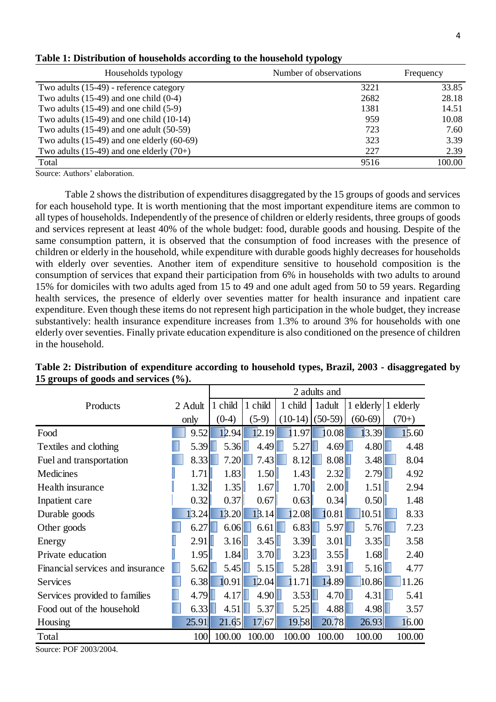| Households typology                            | Number of observations | Frequency |
|------------------------------------------------|------------------------|-----------|
| Two adults (15-49) - reference category        | 3221                   | 33.85     |
| Two adults $(15-49)$ and one child $(0-4)$     | 2682                   | 28.18     |
| Two adults $(15-49)$ and one child $(5-9)$     | 1381                   | 14.51     |
| Two adults $(15-49)$ and one child $(10-14)$   | 959                    | 10.08     |
| Two adults $(15-49)$ and one adult $(50-59)$   | 723                    | 7.60      |
| Two adults $(15-49)$ and one elderly $(60-69)$ | 323                    | 3.39      |
| Two adults (15-49) and one elderly $(70+)$     | 227                    | 2.39      |
| Total                                          | 9516                   | 100.00    |

**Table 1: Distribution of households according to the household typology**

Source: Authors' elaboration.

Table 2 shows the distribution of expenditures disaggregated by the 15 groups of goods and services for each household type. It is worth mentioning that the most important expenditure items are common to all types of households. Independently of the presence of children or elderly residents, three groups of goods and services represent at least 40% of the whole budget: food, durable goods and housing. Despite of the same consumption pattern, it is observed that the consumption of food increases with the presence of children or elderly in the household, while expenditure with durable goods highly decreases for households with elderly over seventies. Another item of expenditure sensitive to household composition is the consumption of services that expand their participation from 6% in households with two adults to around 15% for domiciles with two adults aged from 15 to 49 and one adult aged from 50 to 59 years. Regarding health services, the presence of elderly over seventies matter for health insurance and inpatient care expenditure. Even though these items do not represent high participation in the whole budget, they increase substantively: health insurance expenditure increases from 1.3% to around 3% for households with one elderly over seventies. Finally private education expenditure is also conditioned on the presence of children in the household.

|                                  |         |         | 2 adults and |           |           |           |           |  |  |  |  |
|----------------------------------|---------|---------|--------------|-----------|-----------|-----------|-----------|--|--|--|--|
| Products                         | 2 Adult | 1 child | 1 child      | 1 child   | 1adult    | 1 elderly | 1 elderly |  |  |  |  |
|                                  | only    | $(0-4)$ | $(5-9)$      | $(10-14)$ | $(50-59)$ | $(60-69)$ | $(70+)$   |  |  |  |  |
| Food                             | 9.52    | 12.94   | 12.19        | 11.97     | 10.08     | 13.39     | 15.60     |  |  |  |  |
| Textiles and clothing            | 5.39    | 5.36    | 4.49         | 5.27      | 4.69      | 4.80      | 4.48      |  |  |  |  |
| Fuel and transportation          | 8.33    | 7.20    | 7.43         | 8.12      | 8.08      | 3.48      | 8.04      |  |  |  |  |
| Medicines                        | 1.71    | 1.83    | 1.50         | 1.43      | 2.32      | 2.79      | 4.92      |  |  |  |  |
| Health insurance                 | 1.32    | 1.35    | 1.67         | 1.70      | 2.00      | 1.51      | 2.94      |  |  |  |  |
| Inpatient care                   | 0.32    | 0.37    | 0.67         | 0.63      | 0.34      | 0.50      | 1.48      |  |  |  |  |
| Durable goods                    | 13.24   | 13.20   | 13.14        | 12.08     | 10.81     | 10.51     | 8.33      |  |  |  |  |
| Other goods                      | 6.27    | 6.06    | 6.61         | 6.83      | 5.97      | 5.76      | 7.23      |  |  |  |  |
| Energy                           | 2.91    | 3.16    | $3.45$       | $3.39$    | 3.01      | 3.35      | 3.58      |  |  |  |  |
| Private education                | 1.95    | 1.84    | 3.70         | 3.23      | 3.55      | 1.68      | 2.40      |  |  |  |  |
| Financial services and insurance | 5.62    | 5.45    | 5.15         | 5.28      | 3.91      | 5.16      | 4.77      |  |  |  |  |
| <b>Services</b>                  | 6.38    | 10.91   | 12.04        | 1.71      | 14.89     | 10.86     | 11.26     |  |  |  |  |
| Services provided to families    | 4.79    | 4.17    | 4.90         | 3.53      | 4.70      | 4.31      | 5.41      |  |  |  |  |
| Food out of the household        | 6.33    | 4.51    | 5.37         | 5.25      | 4.88      | 4.98      | 3.57      |  |  |  |  |
| Housing                          | 25.91   | 21.65   | 17.67        | 19.58     | 20.78     | 26.93     | 16.00     |  |  |  |  |
| Total                            | 100     | 100.00  | 100.00       | 100.00    | 100.00    | 100.00    | 100.00    |  |  |  |  |
| Source: POF 2003/2004.           |         |         |              |           |           |           |           |  |  |  |  |

**Table 2: Distribution of expenditure according to household types, Brazil, 2003 - disaggregated by 15 groups of goods and services (%).**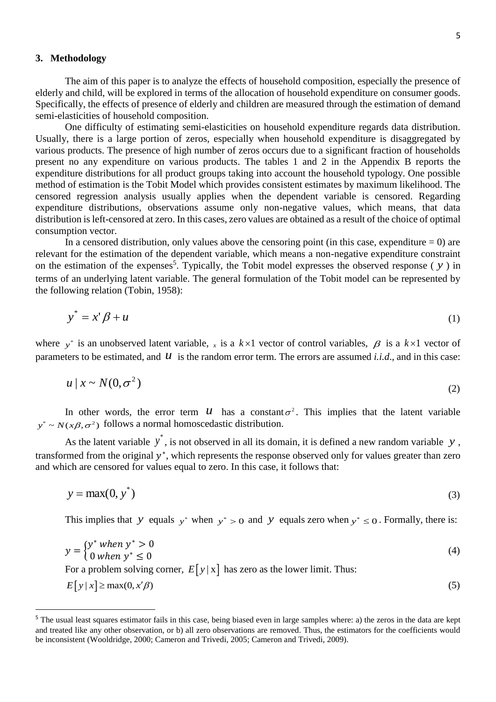#### **3. Methodology**

 $\overline{a}$ 

The aim of this paper is to analyze the effects of household composition, especially the presence of elderly and child, will be explored in terms of the allocation of household expenditure on consumer goods. Specifically, the effects of presence of elderly and children are measured through the estimation of demand semi-elasticities of household composition.

One difficulty of estimating semi-elasticities on household expenditure regards data distribution. Usually, there is a large portion of zeros, especially when household expenditure is disaggregated by various products. The presence of high number of zeros occurs due to a significant fraction of households present no any expenditure on various products. The tables 1 and 2 in the Appendix B reports the expenditure distributions for all product groups taking into account the household typology. One possible method of estimation is the Tobit Model which provides consistent estimates by maximum likelihood. The censored regression analysis usually applies when the dependent variable is censored. Regarding expenditure distributions, observations assume only non-negative values, which means, that data distribution is left-censored at zero. In this cases, zero values are obtained as a result of the choice of optimal consumption vector.

In a censored distribution, only values above the censoring point (in this case, expenditure  $= 0$ ) are relevant for the estimation of the dependent variable, which means a non-negative expenditure constraint on the estimation of the expenses<sup>5</sup>. Typically, the Tobit model expresses the observed response ( $y$ ) in terms of an underlying latent variable. The general formulation of the Tobit model can be represented by the following relation (Tobin, 1958):

$$
y^* = x^* \beta + u \tag{1}
$$

where y<sup>\*</sup> is an unobserved latent variable, x is a  $k \times 1$  vector of control variables,  $\beta$  is a  $k \times 1$  vector of parameters to be estimated, and  $\vec{u}$  is the random error term. The errors are assumed *i.i.d.*, and in this case:

$$
u \mid x \sim N(0, \sigma^2) \tag{2}
$$

In other words, the error term  $\mathcal{U}$  has a constant  $\sigma^2$ . This implies that the latent variable  $y^* \sim N(x\beta, \sigma^2)$  follows a normal homoscedastic distribution.

As the latent variable  $y^*$ , is not observed in all its domain, it is defined a new random variable  $y$ , transformed from the original  $y^*$ , which represents the response observed only for values greater than zero and which are censored for values equal to zero. In this case, it follows that:

$$
y = \max(0, y^*)
$$
 (3)

This implies that y equals  $y^*$  when  $y^* > 0$  and y equals zero when  $y^* \le 0$ . Formally, there is:

$$
y = \begin{cases} y^* \text{ when } y^* > 0 \\ 0 \text{ when } y^* \le 0 \end{cases} \tag{4}
$$

For a problem solving corner,  $E[y|x]$  has zero as the lower limit. Thus:

$$
E[y \mid x] \ge \max(0, x'\beta) \tag{5}
$$

<sup>&</sup>lt;sup>5</sup> The usual least squares estimator fails in this case, being biased even in large samples where: a) the zeros in the data are kept and treated like any other observation, or b) all zero observations are removed. Thus, the estimators for the coefficients would be inconsistent (Wooldridge, 2000; Cameron and Trivedi, 2005; Cameron and Trivedi, 2009).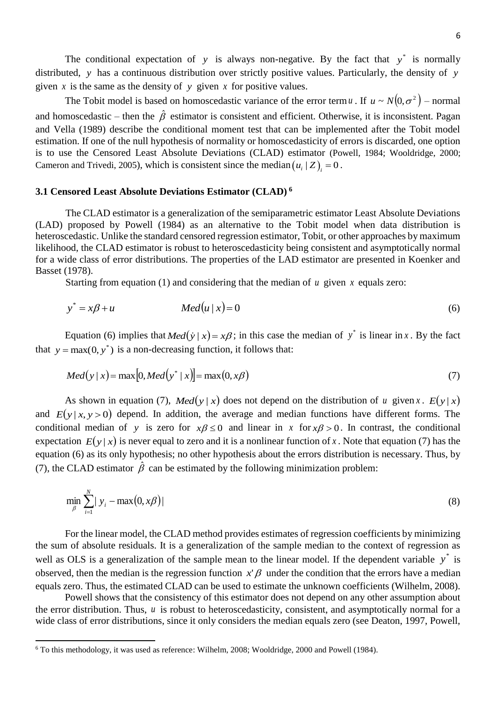The conditional expectation of y is always non-negative. By the fact that  $y^*$  is normally distributed, *y* has a continuous distribution over strictly positive values. Particularly, the density of *y* given  $x$  is the same as the density of  $y$  given  $x$  for positive values.

The Tobit model is based on homoscedastic variance of the error term *u*. If  $u \sim N(0, \sigma^2)$  – normal and homoscedastic – then the  $\hat{\beta}$  estimator is consistent and efficient. Otherwise, it is inconsistent. Pagan and Vella (1989) describe the conditional moment test that can be implemented after the Tobit model estimation. If one of the null hypothesis of normality or homoscedasticity of errors is discarded, one option is to use the Censored Least Absolute Deviations (CLAD) estimator (Powell, 1984; Wooldridge, 2000; Cameron and Trivedi, 2005), which is consistent since the median $(u_i | Z)_i = 0$ .

## **3.1 Censored Least Absolute Deviations Estimator (CLAD) <sup>6</sup>**

The CLAD estimator is a generalization of the semiparametric estimator Least Absolute Deviations (LAD) proposed by Powell (1984) as an alternative to the Tobit model when data distribution is heteroscedastic. Unlike the standard censored regression estimator, Tobit, or other approaches by maximum likelihood, the CLAD estimator is robust to heteroscedasticity being consistent and asymptotically normal for a wide class of error distributions. The properties of the LAD estimator are presented in Koenker and Basset (1978).

Starting from equation  $(1)$  and considering that the median of  $u$  given  $x$  equals zero:

$$
y^* = x\beta + u \qquad \qquad Med(u \mid x) = 0 \tag{6}
$$

Equation (6) implies that  $Med(y|x) = x\beta$ ; in this case the median of y<sup>\*</sup> is linear in x. By the fact that  $y = max(0, y^*)$  is a non-decreasing function, it follows that:

$$
Med(y | x) = \max[0, Med(y^* | x)] = \max(0, x\beta)
$$
\n(7)

As shown in equation (7), *Med*( $y | x$ ) does not depend on the distribution of u given x.  $E(y|x)$ and  $E(y | x, y > 0)$  depend. In addition, the average and median functions have different forms. The conditional median of y is zero for  $x\beta \le 0$  and linear in x for  $x\beta > 0$ . In contrast, the conditional expectation  $E(y|x)$  is never equal to zero and it is a nonlinear function of x . Note that equation (7) has the equation (6) as its only hypothesis; no other hypothesis about the errors distribution is necessary. Thus, by (7), the CLAD estimator  $\hat{\beta}$  can be estimated by the following minimization problem:

$$
\min_{\beta} \sum_{i=1}^{N} |y_i - \max(0, x\beta)|
$$
 (8)

For the linear model, the CLAD method provides estimates of regression coefficients by minimizing the sum of absolute residuals. It is a generalization of the sample median to the context of regression as well as OLS is a generalization of the sample mean to the linear model. If the dependent variable  $y^*$  is observed, then the median is the regression function  $x^{\prime}\beta$  under the condition that the errors have a median equals zero. Thus, the estimated CLAD can be used to estimate the unknown coefficients (Wilhelm, 2008).

Powell shows that the consistency of this estimator does not depend on any other assumption about the error distribution. Thus, *u* is robust to heteroscedasticity, consistent, and asymptotically normal for a wide class of error distributions, since it only considers the median equals zero (see Deaton, 1997, Powell,

<sup>6</sup> To this methodology, it was used as reference: Wilhelm, 2008; Wooldridge, 2000 and Powell (1984).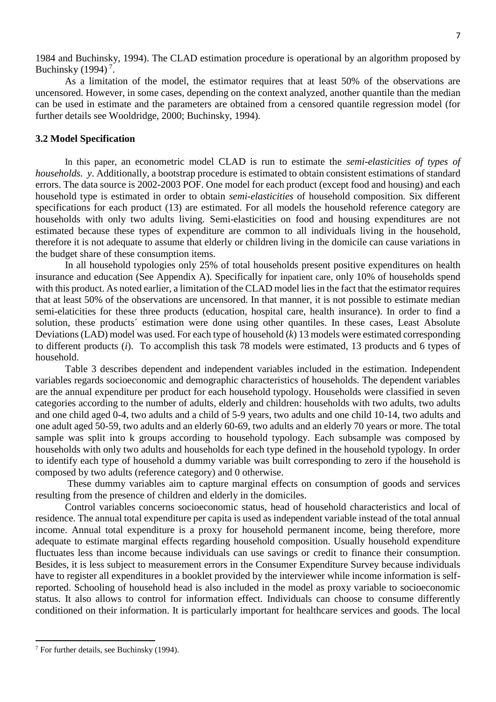1984 and Buchinsky, 1994). The CLAD estimation procedure is operational by an algorithm proposed by Buchinsky  $(1994)$ <sup>7</sup>.

As a limitation of the model, the estimator requires that at least 50% of the observations are uncensored. However, in some cases, depending on the context analyzed, another quantile than the median can be used in estimate and the parameters are obtained from a censored quantile regression model (for further details see Wooldridge, 2000; Buchinsky, 1994).

#### **3.2 Model Specification**

In this paper, an econometric model CLAD is run to estimate the *semi-elasticities of types of households. y*. Additionally, a bootstrap procedure is estimated to obtain consistent estimations of standard errors. The data source is 2002-2003 POF. One model for each product (except food and housing) and each household type is estimated in order to obtain *semi-elasticities* of household composition. Six different specifications for each product (13) are estimated. For all models the household reference category are households with only two adults living. Semi-elasticities on food and housing expenditures are not estimated because these types of expenditure are common to all individuals living in the household, therefore it is not adequate to assume that elderly or children living in the domicile can cause variations in the budget share of these consumption items.

In all household typologies only 25% of total households present positive expenditures on health insurance and education (See Appendix A). Specifically for inpatient care, only 10% of households spend with this product. As noted earlier, a limitation of the CLAD model lies in the fact that the estimator requires that at least 50% of the observations are uncensored. In that manner, it is not possible to estimate median semi-elaticities for these three products (education, hospital care, health insurance). In order to find a solution, these products' estimation were done using other quantiles. In these cases, Least Absolute Deviations (LAD) model was used. For each type of household (*k*) 13 models were estimated corresponding to different products (*i*). To accomplish this task 78 models were estimated, 13 products and 6 types of household.

Table 3 describes dependent and independent variables included in the estimation. Independent variables regards socioeconomic and demographic characteristics of households. The dependent variables are the annual expenditure per product for each household typology. Households were classified in seven categories according to the number of adults, elderly and children: households with two adults, two adults and one child aged 0-4, two adults and a child of 5-9 years, two adults and one child 10-14, two adults and one adult aged 50-59, two adults and an elderly 60-69, two adults and an elderly 70 years or more. The total sample was split into k groups according to household typology. Each subsample was composed by households with only two adults and households for each type defined in the household typology. In order to identify each type of household a dummy variable was built corresponding to zero if the household is composed by two adults (reference category) and 0 otherwise.

These dummy variables aim to capture marginal effects on consumption of goods and services resulting from the presence of children and elderly in the domiciles.

Control variables concerns socioeconomic status, head of household characteristics and local of residence. The annual total expenditure per capita is used as independent variable instead of the total annual income. Annual total expenditure is a proxy for household permanent income, being therefore, more adequate to estimate marginal effects regarding household composition. Usually household expenditure fluctuates less than income because individuals can use savings or credit to finance their consumption. Besides, it is less subject to measurement errors in the Consumer Expenditure Survey because individuals have to register all expenditures in a booklet provided by the interviewer while income information is selfreported. Schooling of household head is also included in the model as proxy variable to socioeconomic status. It also allows to control for information effect. Individuals can choose to consume differently conditioned on their information. It is particularly important for healthcare services and goods. The local

<sup>7</sup> For further details, see Buchinsky (1994).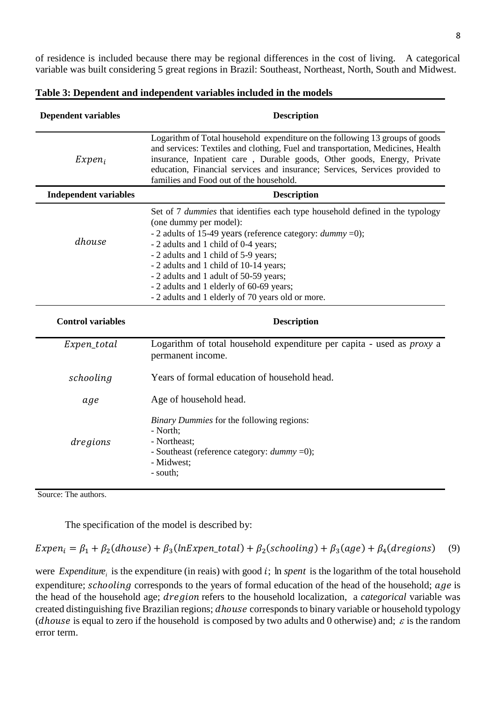of residence is included because there may be regional differences in the cost of living. A categorical variable was built considering 5 great regions in Brazil: Southeast, Northeast, North, South and Midwest.

| <b>Dependent variables</b>   | <b>Description</b>                                                                                                                                                                                                                                                                                                                                                                                                                                     |
|------------------------------|--------------------------------------------------------------------------------------------------------------------------------------------------------------------------------------------------------------------------------------------------------------------------------------------------------------------------------------------------------------------------------------------------------------------------------------------------------|
| $Expen_i$                    | Logarithm of Total household expenditure on the following 13 groups of goods<br>and services: Textiles and clothing, Fuel and transportation, Medicines, Health<br>insurance, Inpatient care, Durable goods, Other goods, Energy, Private<br>education, Financial services and insurance; Services, Services provided to<br>families and Food out of the household.                                                                                    |
| <b>Independent variables</b> | <b>Description</b>                                                                                                                                                                                                                                                                                                                                                                                                                                     |
| dhouse                       | Set of 7 <i>dummies</i> that identifies each type household defined in the typology<br>(one dummy per model):<br>- 2 adults of 15-49 years (reference category: <i>dummy</i> =0);<br>- 2 adults and 1 child of 0-4 years;<br>- 2 adults and 1 child of 5-9 years;<br>- 2 adults and 1 child of 10-14 years;<br>- 2 adults and 1 adult of 50-59 years;<br>- 2 adults and 1 elderly of 60-69 years;<br>- 2 adults and 1 elderly of 70 years old or more. |
| <b>Control variables</b>     | <b>Description</b>                                                                                                                                                                                                                                                                                                                                                                                                                                     |
| Expen_total                  | Logarithm of total household expenditure per capita - used as <i>proxy</i> a<br>permanent income.                                                                                                                                                                                                                                                                                                                                                      |
| schooling                    | Years of formal education of household head.                                                                                                                                                                                                                                                                                                                                                                                                           |
| age                          | Age of household head.                                                                                                                                                                                                                                                                                                                                                                                                                                 |
| dregions                     | <i>Binary Dummies</i> for the following regions:<br>- North;<br>- Northeast;<br>- Southeast (reference category: $d_{\mu}$ );<br>- Midwest;<br>- south;                                                                                                                                                                                                                                                                                                |

| Table 3: Dependent and independent variables included in the models |  |  |  |  |
|---------------------------------------------------------------------|--|--|--|--|
|---------------------------------------------------------------------|--|--|--|--|

Source: The authors.

The specification of the model is described by:

 $Expen_i = \beta_1 + \beta_2(dhouse) + \beta_3(hExpen\_total) + \beta_2(schooling) + \beta_3(age) + \beta_4(dregions)$  (9)

were *Expenditure*<sub>i</sub> is the expenditure (in reais) with good *i*; In *spent* is the logarithm of the total household expenditure; schooling corresponds to the years of formal education of the head of the household;  $age$  is the head of the household age; *dregion* refers to the household localization, a *categorical* variable was created distinguishing five Brazilian regions; *dhouse* corresponds to binary variable or household typology (*dhouse* is equal to zero if the household is composed by two adults and 0 otherwise) and;  $\varepsilon$  is the random error term.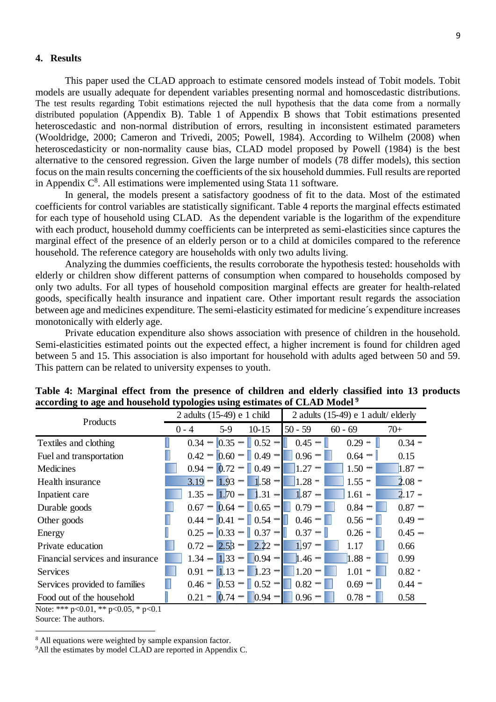#### **4. Results**

This paper used the CLAD approach to estimate censored models instead of Tobit models. Tobit models are usually adequate for dependent variables presenting normal and homoscedastic distributions. The test results regarding Tobit estimations rejected the null hypothesis that the data come from a normally distributed population (Appendix B). Table 1 of Appendix B shows that Tobit estimations presented heteroscedastic and non-normal distribution of errors, resulting in inconsistent estimated parameters (Wooldridge, 2000; Cameron and Trivedi, 2005; Powell, 1984). According to Wilhelm (2008) when heteroscedasticity or non-normality cause bias, CLAD model proposed by Powell (1984) is the best alternative to the censored regression. Given the large number of models (78 differ models), this section focus on the main results concerning the coefficients of the six household dummies. Full results are reported in Appendix  $C^8$ . All estimations were implemented using Stata 11 software.

In general, the models present a satisfactory goodness of fit to the data. Most of the estimated coefficients for control variables are statistically significant. Table 4 reports the marginal effects estimated for each type of household using CLAD. As the dependent variable is the logarithm of the expenditure with each product, household dummy coefficients can be interpreted as semi-elasticities since captures the marginal effect of the presence of an elderly person or to a child at domiciles compared to the reference household. The reference category are households with only two adults living.

Analyzing the dummies coefficients, the results corroborate the hypothesis tested: households with elderly or children show different patterns of consumption when compared to households composed by only two adults. For all types of household composition marginal effects are greater for health-related goods, specifically health insurance and inpatient care. Other important result regards the association between age and medicines expenditure. The semi-elasticity estimated for medicine´s expenditure increases monotonically with elderly age.

Private education expenditure also shows association with presence of children in the household. Semi-elasticities estimated points out the expected effect, a higher increment is found for children aged between 5 and 15. This association is also important for household with adults aged between 50 and 59. This pattern can be related to university expenses to youth.

| Products                                                           |         |           | 2 adults (15-49) e 1 child      |                                                       | 2 adults $(15-49)$ e 1 adult/ elderly |           |           |        |           |
|--------------------------------------------------------------------|---------|-----------|---------------------------------|-------------------------------------------------------|---------------------------------------|-----------|-----------|--------|-----------|
|                                                                    | $0 - 4$ |           | 5-9                             | $10-15$                                               | $50 - 59$                             | $60 - 69$ |           | $70 +$ |           |
| Textiles and clothing                                              |         | $0.34$ ** |                                 | $\vert 0.35 \vert \cdot \vert 0.52 \vert \cdot \vert$ | $0.45$ **                             |           | $0.29$ *  |        | $0.34$ ** |
| Fuel and transportation                                            |         |           |                                 | $0.42$ ** $0.60$ ** $0.49$ **                         | $0.96$ **                             |           | $0.64$ ** |        | 0.15      |
| Medicines                                                          |         |           |                                 | $0.94$ $\approx 0.72$ $\approx 0.49$ $\approx$        | $1.27$ **                             |           | $1.50$ ** |        | $1.87$ ** |
| Health insurance                                                   |         |           |                                 | $3.19 \times 1.93 \times 1.58 \times$                 | $1.28$ **                             |           | $1.55$ *  |        | $2.08$ ** |
| Inpatient care                                                     |         |           |                                 | $1.35 \ast 1.70 \ast 1.31 \ast$                       | $1.87$ **                             |           | $1.61$ *  |        | $2.17*$   |
| Durable goods                                                      |         |           |                                 | $0.67$ ** $0.64$ ** $0.65$ **                         | $0.79$ **                             |           | $0.84$ ** |        | $0.87$ ** |
| Other goods                                                        |         |           |                                 | $0.44$ ** $0.41$ ** $0.54$ **                         | $0.46$ **                             |           | $0.56$ ** |        | $0.49$ ** |
| Energy                                                             |         |           |                                 | $0.25$ $\approx 0.33$ $\approx 0.37$ $\approx$        | $0.37 \ast I$                         |           | $0.26$ ** |        | $0.45$ ** |
| Private education                                                  |         |           | $0.72$ $\approx 2.53$           | 2.22                                                  | $1.97$ **                             |           | 1.17      |        | 0.66      |
| Financial services and insurance                                   |         | $1.34$ ** | $1.33$ **                       | $\Box$ 0.94 $**$                                      | $1.46$ **                             |           | $1.88*$   |        | 0.99      |
| <b>Services</b>                                                    |         |           | $0.91$ $\approx$ 1.13 $\approx$ | $1.23$ **                                             | $1.20$ **                             |           | $1.01$ *  |        | $0.82*$   |
| Services provided to families                                      |         |           |                                 | $0.46 * 0.53 * 0.52$                                  | $0.82$ **                             |           | $0.69$ ** |        | $0.44$ *  |
| Food out of the household                                          |         | $0.21$ *  | $0.74$ $*$                      | $0.94$ **                                             | $0.96$ **                             |           | $0.78 *$  |        | 0.58      |
| $N_{\text{obs}}$ *** $n \leq 0.01$ ** $n \leq 0.05$ * $n \leq 0.1$ |         |           |                                 |                                                       |                                       |           |           |        |           |

| Table 4: Marginal effect from the presence of children and elderly classified into 13 products |  |  |  |  |  |  |
|------------------------------------------------------------------------------------------------|--|--|--|--|--|--|
| according to age and household typologies using estimates of CLAD Model <sup>9</sup>           |  |  |  |  |  |  |

Note: \*\*\* p<0.01, \*\* p<0.05, \* p<0.1 Source: The authors.

<sup>&</sup>lt;sup>8</sup> All equations were weighted by sample expansion factor.

<sup>&</sup>lt;sup>9</sup>All the estimates by model CLAD are reported in Appendix C.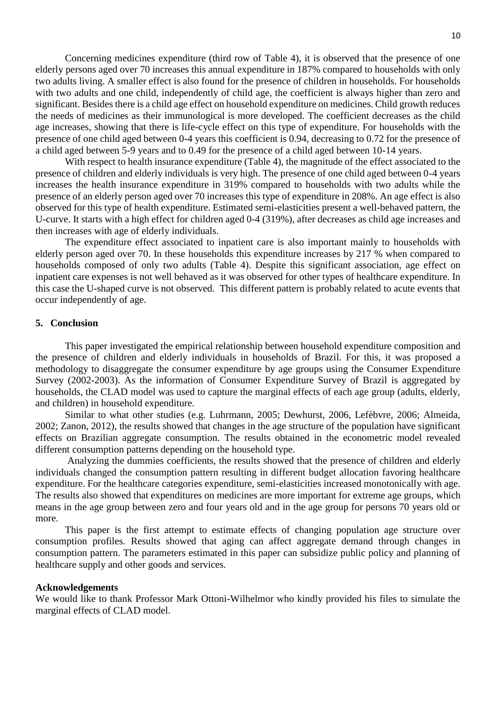Concerning medicines expenditure (third row of Table 4), it is observed that the presence of one elderly persons aged over 70 increases this annual expenditure in 187% compared to households with only two adults living. A smaller effect is also found for the presence of children in households. For households with two adults and one child, independently of child age, the coefficient is always higher than zero and significant. Besides there is a child age effect on household expenditure on medicines. Child growth reduces the needs of medicines as their immunological is more developed. The coefficient decreases as the child age increases, showing that there is life-cycle effect on this type of expenditure. For households with the presence of one child aged between 0-4 years this coefficient is 0.94, decreasing to 0.72 for the presence of a child aged between 5-9 years and to 0.49 for the presence of a child aged between 10-14 years.

With respect to health insurance expenditure (Table 4), the magnitude of the effect associated to the presence of children and elderly individuals is very high. The presence of one child aged between 0-4 years increases the health insurance expenditure in 319% compared to households with two adults while the presence of an elderly person aged over 70 increases this type of expenditure in 208%. An age effect is also observed for this type of health expenditure. Estimated semi-elasticities present a well-behaved pattern, the U-curve. It starts with a high effect for children aged 0-4 (319%), after decreases as child age increases and then increases with age of elderly individuals.

The expenditure effect associated to inpatient care is also important mainly to households with elderly person aged over 70. In these households this expenditure increases by 217 % when compared to households composed of only two adults (Table 4). Despite this significant association, age effect on inpatient care expenses is not well behaved as it was observed for other types of healthcare expenditure. In this case the U-shaped curve is not observed. This different pattern is probably related to acute events that occur independently of age.

#### **5. Conclusion**

This paper investigated the empirical relationship between household expenditure composition and the presence of children and elderly individuals in households of Brazil. For this, it was proposed a methodology to disaggregate the consumer expenditure by age groups using the Consumer Expenditure Survey (2002-2003). As the information of Consumer Expenditure Survey of Brazil is aggregated by households, the CLAD model was used to capture the marginal effects of each age group (adults, elderly, and children) in household expenditure.

Similar to what other studies (e.g. Luhrmann, 2005; Dewhurst, 2006, Lefèbvre, 2006; Almeida, 2002; Zanon, 2012), the results showed that changes in the age structure of the population have significant effects on Brazilian aggregate consumption. The results obtained in the econometric model revealed different consumption patterns depending on the household type.

Analyzing the dummies coefficients, the results showed that the presence of children and elderly individuals changed the consumption pattern resulting in different budget allocation favoring healthcare expenditure. For the healthcare categories expenditure, semi-elasticities increased monotonically with age. The results also showed that expenditures on medicines are more important for extreme age groups, which means in the age group between zero and four years old and in the age group for persons 70 years old or more.

This paper is the first attempt to estimate effects of changing population age structure over consumption profiles. Results showed that aging can affect aggregate demand through changes in consumption pattern. The parameters estimated in this paper can subsidize public policy and planning of healthcare supply and other goods and services.

#### **Acknowledgements**

We would like to thank Professor Mark Ottoni-Wilhelmor who kindly provided his files to simulate the marginal effects of CLAD model.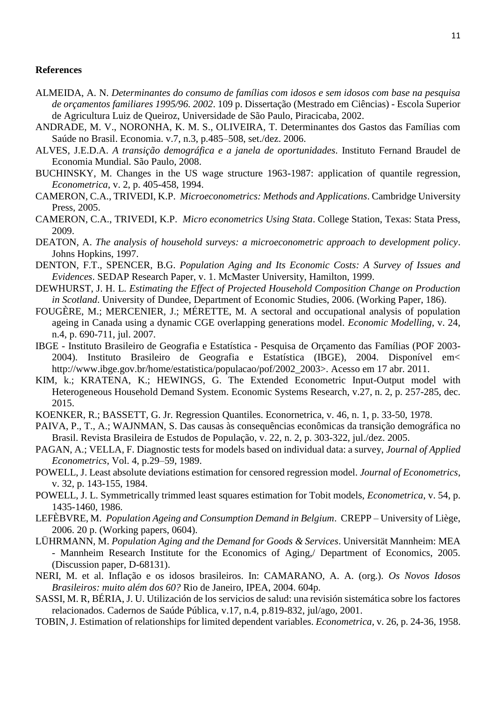#### **References**

- ALMEIDA, A. N. *Determinantes do consumo de famílias com idosos e sem idosos com base na pesquisa de orçamentos familiares 1995/96. 2002*. 109 p. Dissertação (Mestrado em Ciências) - Escola Superior de Agricultura Luiz de Queiroz, Universidade de São Paulo, Piracicaba, 2002.
- ANDRADE, M. V., NORONHA, K. M. S., OLIVEIRA, T. Determinantes dos Gastos das Famílias com Saúde no Brasil. Economia. v.7, n.3, p.485–508, set./dez. 2006.
- ALVES, J.E.D.A. *A transição demográfica e a janela de oportunidades*. Instituto Fernand Braudel de Economia Mundial. São Paulo, 2008.
- BUCHINSKY, M. Changes in the US wage structure 1963-1987: application of quantile regression, *Econometrica*, v. 2, p. 405-458, 1994.
- CAMERON, C.A., TRIVEDI, K.P. *Microeconometrics: Methods and Applications*. Cambridge University Press, 2005.
- CAMERON, C.A., TRIVEDI, K.P. *Micro econometrics Using Stata*. College Station, Texas: Stata Press, 2009.
- DEATON, A. *The analysis of household surveys: a microeconometric approach to development policy*. Johns Hopkins, 1997.
- DENTON, F.T., SPENCER, B.G. *Population Aging and Its Economic Costs: A Survey of Issues and Evidences*. SEDAP Research Paper, v. 1. McMaster University, Hamilton, 1999.
- DEWHURST, J. H. L. *Estimating the Effect of Projected Household Composition Change on Production in Scotland*. University of Dundee, Department of Economic Studies, 2006. (Working Paper, 186).
- FOUGÈRE, M.; MERCENIER, J.; MÉRETTE, M. A sectoral and occupational analysis of population ageing in Canada using a dynamic CGE overlapping generations model. *Economic Modelling*, v. 24, n.4, p. 690-711, jul. 2007.
- IBGE Instituto Brasileiro de Geografia e Estatística Pesquisa de Orçamento das Famílias (POF 2003- 2004). Instituto Brasileiro de Geografia e Estatística (IBGE), 2004. Disponível em< http://www.ibge.gov.br/home/estatistica/populacao/pof/2002\_2003>. Acesso em 17 abr. 2011.
- KIM, k.; KRATENA, K.; HEWINGS, G. The Extended Econometric Input-Output model with Heterogeneous Household Demand System. Economic Systems Research, v.27, n. 2, p. 257-285, dec. 2015.
- KOENKER, R.; BASSETT, G. Jr. Regression Quantiles. Econornetrica, v. 46, n. 1, p. 33-50, 1978.
- PAIVA, P., T., A.; WAJNMAN, S. Das causas às consequências econômicas da transição demográfica no Brasil. Revista Brasileira de Estudos de População, v. 22, n. 2, p. 303-322, jul./dez. 2005.
- PAGAN, A.; VELLA, F. Diagnostic tests for models based on individual data: a survey, *Journal of Applied Econometrics*, Vol. 4, p.29–59, 1989.
- POWELL, J. Least absolute deviations estimation for censored regression model. *Journal of Econometrics*, v. 32, p. 143-155, 1984.
- POWELL, J. L. Symmetrically trimmed least squares estimation for Tobit models, *Econometrica*, v. 54, p. 1435-1460, 1986.
- LEFÈBVRE, M. *Population Ageing and Consumption Demand in Belgium*. CREPP University of Liège, 2006. 20 p. (Working papers, 0604).
- LÜHRMANN, M. *Population Aging and the Demand for Goods & Services*. Universität Mannheim: MEA - Mannheim Research Institute for the Economics of Aging,/ Department of Economics, 2005. (Discussion paper, D-68131).
- NERI, M. et al. Inflação e os idosos brasileiros. In: CAMARANO, A. A. (org.). *Os Novos Idosos Brasileiros: muito além dos 60?* Rio de Janeiro, IPEA, 2004. 604p.
- SASSI, M. R, BÉRIA, J. U. Utilización de los servicios de salud: una revisión sistemática sobre los factores relacionados. Cadernos de Saúde Pública, v.17, n.4, p.819-832, jul/ago, 2001.
- TOBIN, J. Estimation of relationships for limited dependent variables. *Econometrica*, v. 26, p. 24-36, 1958.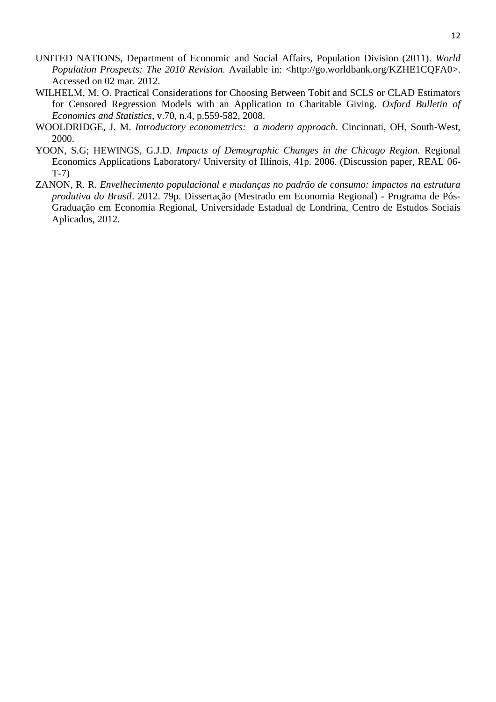- UNITED NATIONS, Department of Economic and Social Affairs, Population Division (2011). *World Population Prospects: The 2010 Revision.* Available in: [<http://go.worldbank.org/KZHE1CQFA0>](http://go.worldbank.org/KZHE1CQFA0). Accessed on 02 mar. 2012.
- WILHELM, M. O. Practical Considerations for Choosing Between Tobit and SCLS or CLAD Estimators for Censored Regression Models with an Application to Charitable Giving. *Oxford Bulletin of Economics and Statistics*, v.70, n.4, p.559-582, 2008.
- WOOLDRIDGE, J. M. *Introductory econometrics: a modern approach*. Cincinnati, OH, South-West, 2000.
- YOON, S.G; HEWINGS, G.J.D. *Impacts of Demographic Changes in the Chicago Region*. Regional Economics Applications Laboratory/ University of Illinois, 41p. 2006. (Discussion paper, REAL 06- T-7)
- ZANON, R. R. *Envelhecimento populacional e mudanças no padrão de consumo: impactos na estrutura produtiva do Brasil*. 2012. 79p. Dissertação (Mestrado em Economia Regional) - Programa de Pós-Graduação em Economia Regional, Universidade Estadual de Londrina, Centro de Estudos Sociais Aplicados, 2012.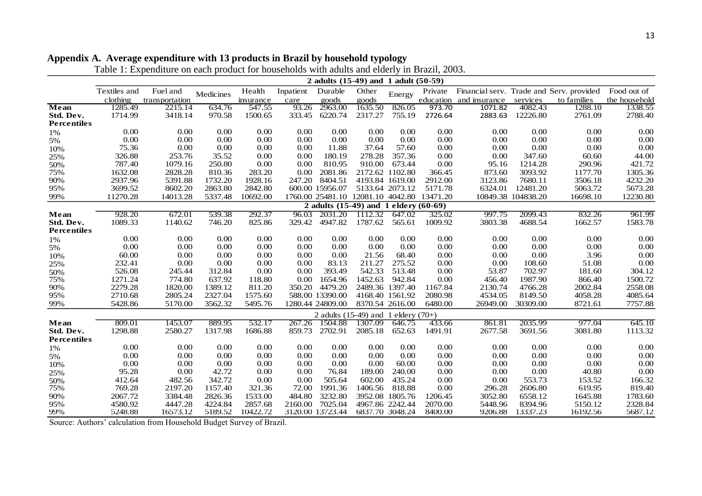|                    |              |                |           |           |           | 2 adults (15-49) and 1 adult (50-59)       |         |                 |         |                                                      |                    |             |               |
|--------------------|--------------|----------------|-----------|-----------|-----------|--------------------------------------------|---------|-----------------|---------|------------------------------------------------------|--------------------|-------------|---------------|
|                    | Textiles and | Fuel and       | Medicines | Health    | Inpatient | Durable                                    | Other   | Energy          | Private | Financial serv. Trade and Serv. provided Food out of |                    |             |               |
|                    | clothing     | transportation |           | insurance | care      | goods                                      | goods   |                 |         | education and insurance services                     |                    | to families | the household |
| Mean               | 1285.49      | 2215.14        | 634.76    | 547.55    | 93.26     | 2963.00                                    | 1635.50 | 826.05          | 973.70  | 1071.82                                              | 4082.43            | 1288.10     | 1338.55       |
| Std. Dev.          | 1714.99      | 3418.14        | 970.58    | 1500.65   | 333.45    | 6220.74                                    | 2317.27 | 755.19          | 2726.64 | 2883.63                                              | 12226.80           | 2761.09     | 2788.40       |
| Percentiles        |              |                |           |           |           |                                            |         |                 |         |                                                      |                    |             |               |
| 1%                 | 0.00         | 0.00           | 0.00      | 0.00      | 0.00      | 0.00                                       | 0.00    | 0.00            | 0.00    | 0.00                                                 | 0.00               | 0.00        | 0.00          |
| 5%                 | 0.00         | 0.00           | 0.00      | 0.00      | 0.00      | 0.00                                       | 0.00    | 0.00            | 0.00    | 0.00                                                 | 0.00               | 0.00        | 0.00          |
| 10%                | 75.36        | 0.00           | 0.00      | 0.00      | 0.00      | 11.88                                      | 37.64   | 57.60           | 0.00    | 0.00                                                 | 0.00               | 0.00        | 0.00          |
| 25%                | 326.88       | 253.76         | 35.52     | 0.00      | 0.00      | 180.19                                     | 278.28  | 357.36          | 0.00    | 0.00                                                 | 347.60             | 60.60       | 44.00         |
| 50%                | 787.40       | 1079.16        | 250.80    | 0.00      | 0.00      | 810.95                                     | 910.00  | 673.44          | 0.00    | 95.16                                                | 1214.28            | 290.96      | 421.72        |
| 75%                | 1632.08      | 2828.28        | 810.36    | 283.20    | 0.00      | 2081.86                                    |         | 2172.62 1102.80 | 366.45  | 873.60                                               | 3093.92            | 1177.70     | 1305.36       |
| 90%                | 2937.96      | 5391.88        | 1732.20   | 1928.16   | 247.20    | 8404.51                                    |         | 4193.84 1619.00 | 2912.00 | 3123.86                                              | 7680.11            | 3506.18     | 4232.20       |
| 95%                | 3699.52      | 8602.20        | 2863.80   | 2842.80   |           | 600.00 15956.07                            |         | 5133.64 2073.12 | 5171.78 | 6324.01                                              | 12481.20           | 5063.72     | 5673.28       |
| 99%                | 11270.28     | 14013.28       | 5337.48   | 10692.00  |           | 1760.00 25481.10 12081.10 4042.80 13471.20 |         |                 |         |                                                      | 10849.38 104838.20 | 16698.10    | 12230.80      |
|                    |              |                |           |           |           | 2 adults $(15-49)$ and 1 eldery (60-69)    |         |                 |         |                                                      |                    |             |               |
| Mean               | 928.20       | 672.01         | 539.38    | 292.37    | 96.03     | 2031.20                                    | 1112.32 | 647.02          | 325.02  | 997.75                                               | 2099.43            | 832.26      | 961.99        |
| Std. Dev.          | 1089.33      | 1140.62        | 746.20    | 825.86    | 329.42    | 4947.82                                    | 1787.62 | 565.61          | 1009.92 | 3803.38                                              | 4688.54            | 1662.57     | 1583.78       |
| <b>Percentiles</b> |              |                |           |           |           |                                            |         |                 |         |                                                      |                    |             |               |
| 1%                 | 0.00         | 0.00           | 0.00      | 0.00      | 0.00      | 0.00                                       | 0.00    | 0.00            | 0.00    | 0.00                                                 | 0.00               | 0.00        | 0.00          |
| 5%                 | 0.00         | 0.00           | 0.00      | 0.00      | 0.00      | 0.00                                       | 0.00    | 0.00            | 0.00    | 0.00                                                 | 0.00               | 0.00        | 0.00          |
| 10%                | 60.00        | 0.00           | 0.00      | 0.00      | 0.00      | 0.00                                       | 21.56   | 68.40           | 0.00    | 0.00                                                 | 0.00               | 3.96        | 0.00          |
| 25%                | 232.41       | 0.00           | 0.00      | 0.00      | 0.00      | 83.13                                      | 211.27  | 275.52          | 0.00    | 0.00                                                 | 108.60             | 51.08       | 0.00          |
| 50%                | 526.08       | 245.44         | 312.84    | 0.00      | 0.00      | 393.49                                     | 542.33  | 513.48          | 0.00    | 53.87                                                | 702.97             | 181.60      | 304.12        |
| 75%                | 1271.24      | 774.80         | 637.92    | 118.80    | 0.00      | 1654.96                                    | 1452.63 | 942.84          | 0.00    | 456.40                                               | 1987.90            | 866.40      | 1500.72       |
| 90%                | 2279.28      | 1820.00        | 1389.12   | 811.20    | 350.20    | 4479.20                                    |         | 2489.36 1397.40 | 1167.84 | 2130.74                                              | 4766.28            | 2002.84     | 2558.08       |
| 95%                | 2710.68      | 2805.24        | 2327.04   | 1575.60   |           | 588.00 13390.00                            |         | 4168.40 1561.92 | 2080.98 | 4534.05                                              | 8149.50            | 4058.28     | 4085.64       |
| 99%                | 5428.86      | 5170.00        | 3562.32   | 5495.76   |           | 1280.44 24809.00                           |         | 8370.54 2616.00 | 6480.00 | 26949.00                                             | 30309.00           | 8721.61     | 7757.88       |
|                    |              |                |           |           |           | 2 adults (15-49) and 1 eldery $(70+)$      |         |                 |         |                                                      |                    |             |               |
| Mean               | 809.01       | 1453.07        | 889.95    | 532.17    | 267.26    | 1504.88                                    | 1307.09 | 646.75          | 433.66  | 861.81                                               | 2035.99            | 977.04      | 645.10        |
| Std. Dev.          | 1298.88      | 2580.27        | 1317.98   | 1686.88   | 859.73    | 2702.91                                    | 2085.18 | 652.63          | 1491.91 | 2677.58                                              | 3691.56            | 3081.80     | 1113.32       |
| Percentiles        |              |                |           |           |           |                                            |         |                 |         |                                                      |                    |             |               |
| 1%                 | 0.00         | 0.00           | 0.00      | 0.00      | 0.00      | 0.00                                       | 0.00    | 0.00            | 0.00    | 0.00                                                 | 0.00               | $0.00\,$    | 0.00          |
| 5%                 | 0.00         | 0.00           | 0.00      | 0.00      | 0.00      | 0.00                                       | 0.00    | 0.00            | 0.00    | 0.00                                                 | 0.00               | 0.00        | 0.00          |
| 10%                | 0.00         | 0.00           | 0.00      | 0.00      | 0.00      | 0.00                                       | 0.00    | 60.00           | 0.00    | 0.00                                                 | 0.00               | $0.00\,$    | 0.00          |
| 25%                | 95.28        | 0.00           | 42.72     | 0.00      | 0.00      | 76.84                                      | 189.00  | 240.00          | 0.00    | 0.00                                                 | $0.00\,$           | 40.80       | 0.00          |
| 50%                | 412.64       | 482.56         | 342.72    | 0.00      | 0.00      | 505.64                                     | 602.00  | 435.24          | 0.00    | 0.00                                                 | 553.73             | 153.52      | 166.32        |
| 75%                | 769.28       | 2197.20        | 1157.40   | 321.36    | 72.00     | 1991.36                                    | 1406.56 | 818.88          | 0.00    | 296.28                                               | 2606.80            | 619.95      | 819.40        |
| 90%                | 2067.72      | 3384.48        | 2826.36   | 1533.00   | 484.80    | 3232.80                                    |         | 3952.08 1805.76 | 1206.45 | 3052.80                                              | 6558.12            | 1645.88     | 1783.60       |
| 95%                | 4580.92      | 4447.28        | 4224.84   | 2857.68   |           | 2160.00 7025.04                            |         | 4967.86 2242.44 | 2070.00 | 5448.96                                              | 8394.96            | 5150.12     | 2328.84       |
| 99%                | 5248.88      | 16573.12       | 5189.52   | 10422.72  |           | 3120.00 13723.44                           |         | 6837.70 3048.24 | 8400.00 | 9206.88                                              | 13337.23           | 16192.56    | 5687.12       |

#### **Appendix A. Average expenditure with 13 products in Brazil by household typology**

Table 1: Expenditure on each product for households with adults and elderly in Brazil, 2003.

Source: Authors' calculation from Household Budget Survey of Brazil.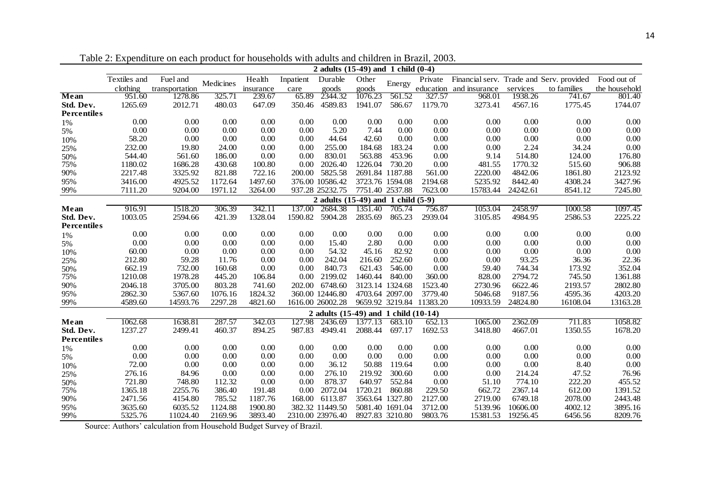|                    |              |                |           |           |           | 2 adults $(15-49)$ and 1 child $(0-4)$ |                 |                 |                          |                                          |          |             |               |
|--------------------|--------------|----------------|-----------|-----------|-----------|----------------------------------------|-----------------|-----------------|--------------------------|------------------------------------------|----------|-------------|---------------|
|                    | Textiles and | Fuel and       | Medicines | Health    | Inpatient | Durable                                | Other           | Energy          | Private                  | Financial serv. Trade and Serv. provided |          |             | Food out of   |
|                    | clothing     | transportation |           | insurance | care      | goods                                  | goods           |                 |                          | education and insurance                  | services | to families | the household |
| Mean               | 951.60       | 1278.86        | 325.71    | 239.67    | 65.89     | 2344.32                                | 1076.23         | 561.52          | 327.57                   | 968.01                                   | 1938.26  | 741.67      | 801.40        |
| Std. Dev.          | 1265.69      | 2012.71        | 480.03    | 647.09    | 350.46    | 4589.83                                | 1941.07         | 586.67          | 1179.70                  | 3273.41                                  | 4567.16  | 1775.45     | 1744.07       |
| Percentiles        |              |                |           |           |           |                                        |                 |                 |                          |                                          |          |             |               |
| 1%                 | 0.00         | 0.00           | 0.00      | 0.00      | 0.00      | 0.00                                   | 0.00            | 0.00            | 0.00                     | 0.00                                     | 0.00     | $0.00\,$    | 0.00          |
| 5%                 | 0.00         | 0.00           | 0.00      | 0.00      | 0.00      | 5.20                                   | 7.44            | 0.00            | 0.00                     | 0.00                                     | 0.00     | $0.00\,$    | 0.00          |
| 10%                | 58.20        | 0.00           | 0.00      | 0.00      | 0.00      | 44.64                                  | 42.60           | 0.00            | 0.00                     | 0.00                                     | 0.00     | $0.00\,$    | 0.00          |
| 25%                | 232.00       | 19.80          | 24.00     | 0.00      | 0.00      | 255.00                                 | 184.68          | 183.24          | 0.00                     | 0.00                                     | 2.24     | 34.24       | 0.00          |
| 50%                | 544.40       | 561.60         | 186.00    | 0.00      | 0.00      | 830.01                                 | 563.88          | 453.96          | 0.00                     | 9.14                                     | 514.80   | 124.00      | 176.80        |
| 75%                | 1180.02      | 1686.28        | 430.68    | 100.80    | $0.00\,$  | 2026.40                                | 1226.04         | 730.20          | 0.00                     | 481.55                                   | 1770.32  | 515.60      | 906.88        |
| 90%                | 2217.48      | 3325.92        | 821.88    | 722.16    | 200.00    | 5825.58                                | 2691.84 1187.88 |                 | 561.00                   | 2220.00                                  | 4842.06  | 1861.80     | 2123.92       |
| 95%                | 3416.00      | 4925.52        | 1172.64   | 1497.60   |           | 376.00 10586.42                        |                 | 3723.76 1594.08 | 2194.68                  | 5235.92                                  | 8442.40  | 4308.24     | 3427.96       |
| 99%                | 7111.20      | 9204.00        | 1971.12   | 3264.00   |           | 937.28 25232.75                        | 7751.40 2537.88 |                 | 7623.00                  | 15783.44                                 | 24242.61 | 8541.12     | 7245.80       |
|                    |              |                |           |           |           | 2 adults (15-49) and 1 child (5-9)     |                 |                 |                          |                                          |          |             |               |
| Mean               | 916.91       | 1518.20        | 306.39    | 342.11    | 137.00    | 2684.38                                | 1351.40         | 705.74          | 756.87                   | 1053.04                                  | 2458.97  | 1000.58     | 1097.45       |
| Std. Dev.          | 1003.05      | 2594.66        | 421.39    | 1328.04   | 1590.82   | 5904.28                                | 2835.69         | 865.23          | 2939.04                  | 3105.85                                  | 4984.95  | 2586.53     | 2225.22       |
| <b>Percentiles</b> |              |                |           |           |           |                                        |                 |                 |                          |                                          |          |             |               |
| 1%                 | 0.00         | 0.00           | 0.00      | 0.00      | 0.00      | 0.00                                   | 0.00            | 0.00            | 0.00                     | 0.00                                     | 0.00     | $0.00\,$    | 0.00          |
| 5%                 | 0.00         | 0.00           | 0.00      | 0.00      | 0.00      | 15.40                                  | 2.80            | 0.00            | 0.00                     | 0.00                                     | 0.00     | 0.00        | 0.00          |
| 10%                | 60.00        | 0.00           | 0.00      | 0.00      | 0.00      | 54.32                                  | 45.16           | 82.92           | 0.00                     | 0.00                                     | $0.00\,$ | $0.00\,$    | 0.00          |
| 25%                | 212.80       | 59.28          | 11.76     | 0.00      | 0.00      | 242.04                                 | 216.60          | 252.60          | 0.00                     | 0.00                                     | 93.25    | 36.36       | 22.36         |
| 50%                | 662.19       | 732.00         | 160.68    | 0.00      | 0.00      | 840.73                                 | 621.43          | 546.00          | 0.00                     | 59.40                                    | 744.34   | 173.92      | 352.04        |
| 75%                | 1210.08      | 1978.28        | 445.20    | 106.84    | 0.00      | 2199.02                                | 1460.44         | 840.00          | 360.00                   | 828.00                                   | 2794.72  | 745.50      | 1361.88       |
| 90%                | 2046.18      | 3705.00        | 803.28    | 741.60    | 202.00    | 6748.60                                |                 | 3123.14 1324.68 | 1523.40                  | 2730.96                                  | 6622.46  | 2193.57     | 2802.80       |
| 95%                | 2862.30      | 5367.60        | 1076.16   | 1824.32   |           | 360.00 12446.80                        |                 | 4703.64 2097.00 | 3779.40                  | 5046.68                                  | 9187.56  | 4595.36     | 4203.20       |
| 99%                | 4589.60      | 14593.76       | 2297.28   | 4821.60   |           | 1616.00 26002.28                       |                 |                 | 9659.92 3219.84 11383.20 | 10933.59                                 | 24824.80 | 16108.04    | 13163.28      |
|                    |              |                |           |           |           | 2 adults (15-49) and 1 child (10-14)   |                 |                 |                          |                                          |          |             |               |
| Mean               | 1062.68      | 1638.81        | 287.57    | 342.03    | 127.98    | 2436.69                                | 1377.13         | 683.10          | 652.13                   | 1065.00                                  | 2362.09  | 711.83      | 1058.82       |
| Std. Dev.          | 1237.27      | 2499.41        | 460.37    | 894.25    | 987.83    | 4949.41                                | 2088.44         | 697.17          | 1692.53                  | 3418.80                                  | 4667.01  | 1350.55     | 1678.20       |
| Percentiles        |              |                |           |           |           |                                        |                 |                 |                          |                                          |          |             |               |
| 1%                 | 0.00         | 0.00           | 0.00      | 0.00      | 0.00      | 0.00                                   | 0.00            | 0.00            | 0.00                     | 0.00                                     | 0.00     | $0.00\,$    | 0.00          |
| 5%                 | 0.00         | 0.00           | 0.00      | 0.00      | 0.00      | 0.00                                   | 0.00            | 0.00            | 0.00                     | 0.00                                     | 0.00     | $0.00\,$    | 0.00          |
| 10%                | 72.00        | 0.00           | 0.00      | 0.00      | 0.00      | 36.12                                  | 50.88           | 119.64          | 0.00                     | 0.00                                     | $0.00\,$ | 8.40        | 0.00          |
| 25%                | 276.16       | 84.96          | 0.00      | 0.00      | 0.00      | 276.10                                 | 219.92          | 300.60          | 0.00                     | 0.00                                     | 214.24   | 47.52       | 76.96         |
| 50%                | 721.80       | 748.80         | 112.32    | 0.00      | 0.00      | 878.37                                 | 640.97          | 552.84          | 0.00                     | 51.10                                    | 774.10   | 222.20      | 455.52        |
| 75%                | 1365.18      | 2255.76        | 386.40    | 191.48    | 0.00      | 2072.04                                | 1720.21         | 860.88          | 229.50                   | 662.72                                   | 2367.14  | 612.00      | 1391.52       |
| 90%                | 2471.56      | 4154.80        | 785.52    | 1187.76   | 168.00    | 6113.87                                |                 | 3563.64 1327.80 | 2127.00                  | 2719.00                                  | 6749.18  | 2078.00     | 2443.48       |
| 95%                | 3635.60      | 6035.52        | 1124.88   | 1900.80   |           | 382.32 11449.50                        |                 | 5081.40 1691.04 | 3712.00                  | 5139.96                                  | 10606.00 | 4002.12     | 3895.16       |
| 99%                | 5325.76      | 11024.40       | 2169.96   | 3893.40   |           | 2310.00 23976.40                       |                 | 8927.83 3210.80 | 9803.76                  | 15381.53                                 | 19256.45 | 6456.56     | 8209.76       |

Table 2: Expenditure on each product for households with adults and children in Brazil, 2003.

Source: Authors' calculation from Household Budget Survey of Brazil.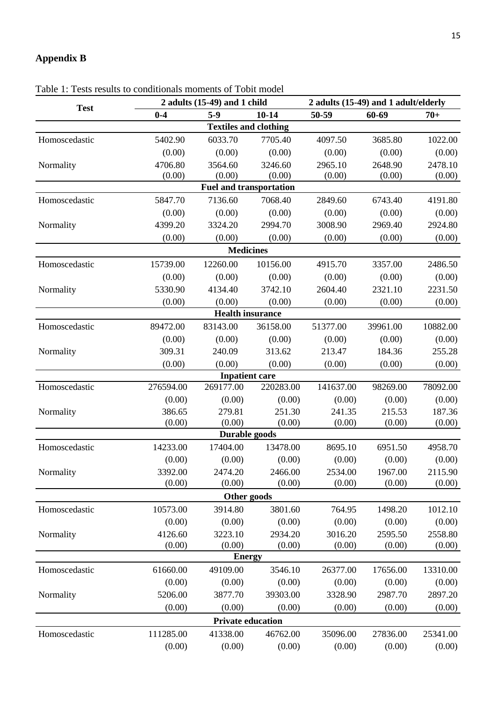# **Appendix B**

|               |           | $2$ adults $(15-49)$ and 1 child |           | 2 adults (15-49) and 1 adult/elderly |          |          |
|---------------|-----------|----------------------------------|-----------|--------------------------------------|----------|----------|
| <b>Test</b>   | $0 - 4$   | $5-9$                            | $10 - 14$ | 50-59                                | 60-69    | $70+$    |
|               |           | <b>Textiles and clothing</b>     |           |                                      |          |          |
| Homoscedastic | 5402.90   | 6033.70                          | 7705.40   | 4097.50                              | 3685.80  | 1022.00  |
|               | (0.00)    | (0.00)                           | (0.00)    | (0.00)                               | (0.00)   | (0.00)   |
| Normality     | 4706.80   | 3564.60                          | 3246.60   | 2965.10                              | 2648.90  | 2478.10  |
|               | (0.00)    | (0.00)                           | (0.00)    | (0.00)                               | (0.00)   | (0.00)   |
|               |           | <b>Fuel and transportation</b>   |           |                                      |          |          |
| Homoscedastic | 5847.70   | 7136.60                          | 7068.40   | 2849.60                              | 6743.40  | 4191.80  |
|               | (0.00)    | (0.00)                           | (0.00)    | (0.00)                               | (0.00)   | (0.00)   |
| Normality     | 4399.20   | 3324.20                          | 2994.70   | 3008.90                              | 2969.40  | 2924.80  |
|               | (0.00)    | (0.00)                           | (0.00)    | (0.00)                               | (0.00)   | (0.00)   |
|               |           | <b>Medicines</b>                 |           |                                      |          |          |
| Homoscedastic | 15739.00  | 12260.00                         | 10156.00  | 4915.70                              | 3357.00  | 2486.50  |
|               | (0.00)    | (0.00)                           | (0.00)    | (0.00)                               | (0.00)   | (0.00)   |
| Normality     | 5330.90   | 4134.40                          | 3742.10   | 2604.40                              | 2321.10  | 2231.50  |
|               | (0.00)    | (0.00)                           | (0.00)    | (0.00)                               | (0.00)   | (0.00)   |
|               |           | <b>Health insurance</b>          |           |                                      |          |          |
| Homoscedastic | 89472.00  | 83143.00                         | 36158.00  | 51377.00                             | 39961.00 | 10882.00 |
|               | (0.00)    | (0.00)                           | (0.00)    | (0.00)                               | (0.00)   | (0.00)   |
| Normality     | 309.31    | 240.09                           | 313.62    | 213.47                               | 184.36   | 255.28   |
|               | (0.00)    | (0.00)<br><b>Inpatient care</b>  | (0.00)    | (0.00)                               | (0.00)   | (0.00)   |
| Homoscedastic | 276594.00 | 269177.00                        | 220283.00 | 141637.00                            | 98269.00 | 78092.00 |
|               | (0.00)    | (0.00)                           | (0.00)    | (0.00)                               | (0.00)   | (0.00)   |
| Normality     | 386.65    | 279.81                           | 251.30    | 241.35                               | 215.53   | 187.36   |
|               | (0.00)    | (0.00)                           | (0.00)    | (0.00)                               | (0.00)   | (0.00)   |
|               |           | Durable goods                    |           |                                      |          |          |
| Homoscedastic | 14233.00  | 17404.00                         | 13478.00  | 8695.10                              | 6951.50  | 4958.70  |
|               | (0.00)    | (0.00)                           | (0.00)    | (0.00)                               | (0.00)   | (0.00)   |
| Normality     | 3392.00   | 2474.20                          | 2466.00   | 2534.00                              | 1967.00  | 2115.90  |
|               | (0.00)    | (0.00)                           | (0.00)    | (0.00)                               | (0.00)   | (0.00)   |
|               |           | Other goods                      |           |                                      |          |          |
| Homoscedastic | 10573.00  | 3914.80                          | 3801.60   | 764.95                               | 1498.20  | 1012.10  |
|               | (0.00)    | (0.00)                           | (0.00)    | (0.00)                               | (0.00)   | (0.00)   |
| Normality     | 4126.60   | 3223.10                          | 2934.20   | 3016.20                              | 2595.50  | 2558.80  |
|               | (0.00)    | (0.00)                           | (0.00)    | (0.00)                               | (0.00)   | (0.00)   |
|               |           | <b>Energy</b>                    |           |                                      |          |          |
| Homoscedastic | 61660.00  | 49109.00                         | 3546.10   | 26377.00                             | 17656.00 | 13310.00 |
|               | (0.00)    | (0.00)                           | (0.00)    | (0.00)                               | (0.00)   | (0.00)   |
| Normality     | 5206.00   | 3877.70                          | 39303.00  | 3328.90                              | 2987.70  | 2897.20  |
|               | (0.00)    | (0.00)                           | (0.00)    | (0.00)                               | (0.00)   | (0.00)   |
|               |           | <b>Private education</b>         |           |                                      |          |          |
| Homoscedastic | 111285.00 | 41338.00                         | 46762.00  | 35096.00                             | 27836.00 | 25341.00 |
|               | (0.00)    | (0.00)                           | (0.00)    | (0.00)                               | (0.00)   | (0.00)   |

Table 1: Tests results to conditionals moments of Tobit model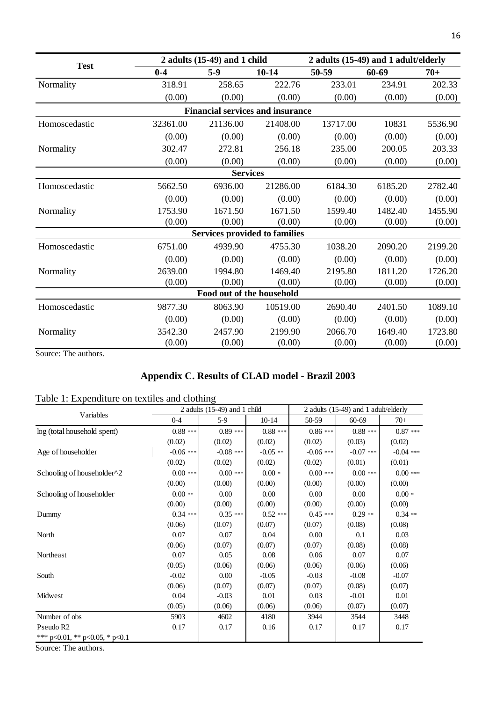| <b>Test</b>   |          | $2$ adults $(15-49)$ and $1$ child |                                         |          | 2 adults (15-49) and 1 adult/elderly |         |  |  |  |
|---------------|----------|------------------------------------|-----------------------------------------|----------|--------------------------------------|---------|--|--|--|
|               | $0 - 4$  | $5-9$                              | $10 - 14$                               | 50-59    | 60-69                                | $70+$   |  |  |  |
| Normality     | 318.91   | 258.65                             | 222.76                                  | 233.01   | 234.91                               | 202.33  |  |  |  |
|               | (0.00)   | (0.00)                             | (0.00)                                  | (0.00)   | (0.00)                               | (0.00)  |  |  |  |
|               |          |                                    | <b>Financial services and insurance</b> |          |                                      |         |  |  |  |
| Homoscedastic | 32361.00 | 21136.00                           | 21408.00                                | 13717.00 | 10831                                | 5536.90 |  |  |  |
|               | (0.00)   | (0.00)                             | (0.00)                                  | (0.00)   | (0.00)                               | (0.00)  |  |  |  |
| Normality     | 302.47   | 272.81                             | 256.18                                  | 235.00   | 200.05                               | 203.33  |  |  |  |
|               | (0.00)   | (0.00)                             | (0.00)                                  | (0.00)   | (0.00)                               | (0.00)  |  |  |  |
|               |          | <b>Services</b>                    |                                         |          |                                      |         |  |  |  |
| Homoscedastic | 5662.50  | 6936.00                            | 21286.00                                | 6184.30  | 6185.20                              | 2782.40 |  |  |  |
|               | (0.00)   | (0.00)                             | (0.00)                                  | (0.00)   | (0.00)                               | (0.00)  |  |  |  |
| Normality     | 1753.90  | 1671.50                            | 1671.50                                 | 1599.40  | 1482.40                              | 1455.90 |  |  |  |
|               | (0.00)   | (0.00)                             | (0.00)                                  | (0.00)   | (0.00)                               | (0.00)  |  |  |  |
|               |          |                                    | <b>Services provided to families</b>    |          |                                      |         |  |  |  |
| Homoscedastic | 6751.00  | 4939.90                            | 4755.30                                 | 1038.20  | 2090.20                              | 2199.20 |  |  |  |
|               | (0.00)   | (0.00)                             | (0.00)                                  | (0.00)   | (0.00)                               | (0.00)  |  |  |  |
| Normality     | 2639.00  | 1994.80                            | 1469.40                                 | 2195.80  | 1811.20                              | 1726.20 |  |  |  |
|               | (0.00)   | (0.00)                             | (0.00)                                  | (0.00)   | (0.00)                               | (0.00)  |  |  |  |
|               |          | Food out of the household          |                                         |          |                                      |         |  |  |  |
| Homoscedastic | 9877.30  | 8063.90                            | 10519.00                                | 2690.40  | 2401.50                              | 1089.10 |  |  |  |
|               | (0.00)   | (0.00)                             | (0.00)                                  | (0.00)   | (0.00)                               | (0.00)  |  |  |  |
| Normality     | 3542.30  | 2457.90                            | 2199.90                                 | 2066.70  | 1649.40                              | 1723.80 |  |  |  |
|               | (0.00)   | (0.00)                             | (0.00)                                  | (0.00)   | (0.00)                               | (0.00)  |  |  |  |

Source: The authors.

# **Appendix C. Results of CLAD model - Brazil 2003**

## Table 1: Expenditure on textiles and clothing

| r able 1. Expenditure on textiles and clothing |             | 2 adults $(15-49)$ and 1 child |            |             | 2 adults (15-49) and 1 adult/elderly |             |
|------------------------------------------------|-------------|--------------------------------|------------|-------------|--------------------------------------|-------------|
| Variables                                      | $0 - 4$     | $5-9$                          | $10 - 14$  | 50-59       | 60-69                                | $70+$       |
| log (total household spent)                    | $0.88***$   | $0.89***$                      | $0.88***$  | $0.86***$   | $0.88***$                            | $0.87***$   |
|                                                | (0.02)      | (0.02)                         | (0.02)     | (0.02)      | (0.03)                               | (0.02)      |
| Age of householder                             | $-0.06$ *** | $-0.08$ ***                    | $-0.05$ ** | $-0.06$ *** | $-0.07$ ***                          | $-0.04$ *** |
|                                                | (0.02)      | (0.02)                         | (0.02)     | (0.02)      | (0.01)                               | (0.01)      |
| Schooling of householder^2                     | $0.00$ ***  | $0.00***$                      | $0.00*$    | $0.00***$   | $0.00***$                            | $0.00***$   |
|                                                | (0.00)      | (0.00)                         | (0.00)     | (0.00)      | (0.00)                               | (0.00)      |
| Schooling of householder                       | $0.00**$    | 0.00                           | 0.00       | 0.00        | 0.00                                 | $0.00*$     |
|                                                | (0.00)      | (0.00)                         | (0.00)     | (0.00)      | (0.00)                               | (0.00)      |
| Dummy                                          | $0.34***$   | $0.35***$                      | $0.52***$  | $0.45***$   | $0.29**$                             | $0.34**$    |
|                                                | (0.06)      | (0.07)                         | (0.07)     | (0.07)      | (0.08)                               | (0.08)      |
| North                                          | 0.07        | 0.07                           | 0.04       | 0.00        | 0.1                                  | 0.03        |
|                                                | (0.06)      | (0.07)                         | (0.07)     | (0.07)      | (0.08)                               | (0.08)      |
| Northeast                                      | 0.07        | 0.05                           | 0.08       | 0.06        | 0.07                                 | 0.07        |
|                                                | (0.05)      | (0.06)                         | (0.06)     | (0.06)      | (0.06)                               | (0.06)      |
| South                                          | $-0.02$     | 0.00                           | $-0.05$    | $-0.03$     | $-0.08$                              | $-0.07$     |
|                                                | (0.06)      | (0.07)                         | (0.07)     | (0.07)      | (0.08)                               | (0.07)      |
| Midwest                                        | 0.04        | $-0.03$                        | 0.01       | 0.03        | $-0.01$                              | 0.01        |
|                                                | (0.05)      | (0.06)                         | (0.06)     | (0.06)      | (0.07)                               | (0.07)      |
| Number of obs                                  | 5903        | 4602                           | 4180       | 3944        | 3544                                 | 3448        |
| Pseudo R <sub>2</sub>                          | 0.17        | 0.17                           | 0.16       | 0.17        | 0.17                                 | 0.17        |
| *** p<0.01, ** p<0.05, * p<0.1                 |             |                                |            |             |                                      |             |

Source: The authors.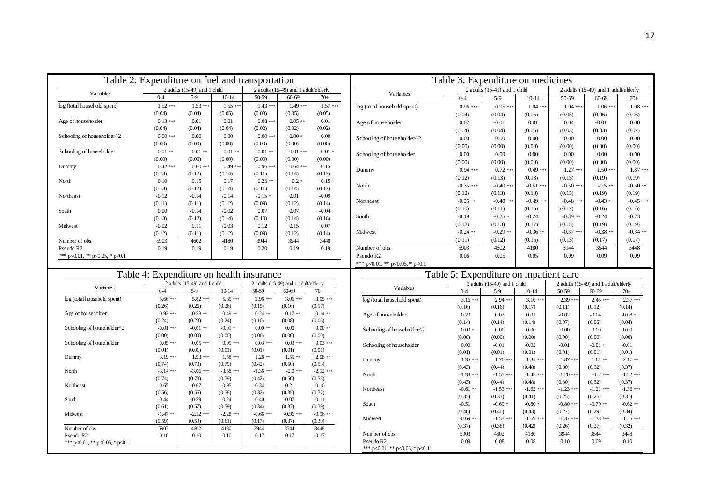|                                        | Table 2: Expenditure on fuel and transportation |                                |           |           |                                      |           | Table 3: Expenditure on medicines      |             |                                |             |         |  |
|----------------------------------------|-------------------------------------------------|--------------------------------|-----------|-----------|--------------------------------------|-----------|----------------------------------------|-------------|--------------------------------|-------------|---------|--|
|                                        |                                                 | 2 adults $(15-49)$ and 1 child |           |           | 2 adults (15-49) and 1 adult/elderly |           |                                        |             | 2 adults $(15-49)$ and 1 child |             | $2$ adu |  |
| Variables                              | $0 - 4$                                         | $5-9$                          | $10 - 14$ | 50-59     | 60-69                                | $70+$     | Variables                              | $0 - 4$     | $5-9$                          | $10-14$     | $50-5$  |  |
| log (total household spent)            | $1.52***$                                       | $1.53***$                      | $1.55***$ | $1.43***$ | $1.49***$                            | $1.57***$ | log (total household spent)            | $0.96***$   | $0.95***$                      | $1.04***$   | 1.0     |  |
|                                        | (0.04)                                          | (0.04)                         | (0.05)    | (0.03)    | (0.05)                               | (0.05)    |                                        | (0.04)      | (0.04)                         | (0.06)      | (0.05)  |  |
| Age of householder                     | $0.13***$                                       | 0.01                           | 0.01      | $0.08***$ | $0.05**$                             | 0.01      | Age of householder                     | 0.02        | $-0.01$                        | 0.01        | 0.0     |  |
|                                        | (0.04)                                          | (0.04)                         | (0.04)    | (0.02)    | (0.02)                               | (0.02)    |                                        | (0.04)      | (0.04)                         | (0.05)      | (0.03)  |  |
| Schooling of householder <sup>^2</sup> | $0.00***$                                       | 0.00                           | 0.00      | $0.00***$ | $0.00*$                              | 0.00      | Schooling of householder <sup>^2</sup> | 0.00        | 0.00                           | 0.00        | 0.0     |  |
|                                        | (0.00)                                          | (0.00)                         | (0.00)    | (0.00)    | (0.00)                               | (0.00)    |                                        | (0.00)      | (0.00)                         | (0.00)      | (0.00)  |  |
| Schooling of householder               | $0.01**$                                        | $0.01**$                       | $0.01**$  | $0.01**$  | $0.01***$                            | $0.01 *$  | Schooling of householder               | 0.00        | 0.00                           | 0.00        | 0.0     |  |
|                                        | (0.00)                                          | (0.00)                         | (0.00)    | (0.00)    | (0.00)                               | (0.00)    |                                        | (0.00)      | (0.00)                         | (0.00)      | (0.00)  |  |
| Dummy                                  | $0.42***$                                       | $0.60***$                      | $0.49***$ | $0.96***$ | $0.64***$                            | 0.15      | Dummy                                  | $0.94***$   | $0.72$ ***                     | $0.49***$   | 1.2     |  |
|                                        | (0.13)                                          | (0.12)                         | (0.14)    | (0.11)    | (0.14)                               | (0.17)    |                                        | (0.12)      | (0.13)                         | (0.18)      | (0.15)  |  |
| North                                  | 0.10                                            | 0.15                           | 0.17      | $0.23**$  | $0.2 *$                              | 0.15      | North                                  | $-0.35$ *** | $-0.40$ ***                    | $-0.51$ *** | $-0.5$  |  |
|                                        | (0.13)                                          | (0.12)                         | (0.14)    | (0.11)    | (0.14)                               | (0.17)    |                                        |             |                                |             |         |  |
| Northeast                              | $-0.12$                                         | $-0.14$                        | $-0.14$   | $-0.15*$  | 0.01                                 | $-0.09$   |                                        | (0.12)      | (0.13)                         | (0.18)      | (0.15)  |  |
|                                        | (0.11)                                          | (0.11)                         | (0.12)    | (0.09)    | (0.12)                               | (0.14)    | Northeast                              | $-0.25$ **  | $-0.40$ ***                    | $-0.49$ *** | $-0.4$  |  |
| South                                  | 0.00                                            | $-0.14$                        | $-0.02$   | 0.07      | 0.07                                 | $-0.04$   |                                        | (0.10)      | (0.11)                         | (0.15)      | (0.12)  |  |
|                                        | (0.13)                                          | (0.12)                         | (0.14)    | (0.10)    | (0.14)                               | (0.16)    | South                                  | $-0.19$     | $-0.25$ *                      | $-0.24$     | $-0.3$  |  |
| Midwest                                | $-0.02$                                         | 0.11                           | $-0.03$   | 0.12      | 0.15                                 | 0.07      |                                        | (0.12)      | (0.13)                         | (0.17)      | (0.15)  |  |
|                                        | (0.12)                                          | (0.11)                         | (0.12)    | (0.09)    | (0.12)                               | (0.14)    | Midwest                                | $-0.24$ **  | $-0.29$ **                     | $-0.36**$   | $-0.3'$ |  |
| Number of obs                          | 5903                                            | 4602                           | 4180      | 3944      | 3544                                 | 3448      |                                        | (0.11)      | (0.12)                         | (0.16)      | (0.13)  |  |
| Pseudo R <sub>2</sub>                  | 0.19                                            | 0.19                           | 0.19      | 0.20      | 0.19                                 | 0.19      | Number of obs                          | 5903        | 4602                           | 4180        | 394     |  |
| *** $p<0.01$ , ** $p<0.05$ , * $p<0.1$ |                                                 |                                |           |           |                                      |           | Pseudo R2                              | 0.06        | 0.05                           | 0.05        | 0.0     |  |

|                                        |            | Table 3: Expenditure on medicines |             |                                      |            |             |  |  |
|----------------------------------------|------------|-----------------------------------|-------------|--------------------------------------|------------|-------------|--|--|
| Variables                              |            | 2 adults $(15-49)$ and 1 child    |             | 2 adults (15-49) and 1 adult/elderly |            |             |  |  |
|                                        | $0 - 4$    | $5-9$                             | $10 - 14$   | 50-59                                | $60 - 69$  | $70+$       |  |  |
| log (total household spent)            | $0.96***$  | $0.95***$                         | $1.04$ ***  | $1.04***$                            | $1.06***$  | $1.08***$   |  |  |
|                                        | (0.04)     | (0.04)                            | (0.06)      | (0.05)                               | (0.06)     | (0.06)      |  |  |
| Age of householder                     | 0.02       | $-0.01$                           | 0.01        | 0.04                                 | $-0.01$    | 0.00        |  |  |
|                                        | (0.04)     | (0.04)                            | (0.05)      | (0.03)                               | (0.03)     | (0.02)      |  |  |
| Schooling of householder <sup>^2</sup> | 0.00       | 0.00                              | 0.00        | 0.00                                 | 0.00       | 0.00        |  |  |
|                                        | (0.00)     | (0.00)                            | (0.00)      | (0.00)                               | (0.00)     | (0.00)      |  |  |
| Schooling of householder               | 0.00       | 0.00                              | 0.00        | 0.00                                 | 0.00       | 0.00        |  |  |
|                                        | (0.00)     | (0.00)                            | (0.00)      | (0.00)                               | (0.00)     | (0.00)      |  |  |
| Dummy                                  | $0.94***$  | $0.72$ ***                        | $0.49***$   | $1.27***$                            | $1.50***$  | $1.87***$   |  |  |
|                                        | (0.12)     | (0.13)                            | (0.18)      | (0.15)                               | (0.19)     | (0.19)      |  |  |
| North                                  | $-0.35***$ | $-0.40$ ***                       | $-0.51***$  | $-0.50***$                           | $-0.5$ **  | $-0.50**$   |  |  |
|                                        | (0.12)     | (0.13)                            | (0.18)      | (0.15)                               | (0.19)     | (0.19)      |  |  |
| Northeast                              | $-0.25$ ** | $-0.40$ ***                       | $-0.49$ *** | $-0.48***$                           | $-0.43$ ** | $-0.45$ *** |  |  |
|                                        | (0.10)     | (0.11)                            | (0.15)      | (0.12)                               | (0.16)     | (0.16)      |  |  |
| South                                  | $-0.19$    | $-0.25$ *                         | $-0.24$     | $-0.39$ **                           | $-0.24$    | $-0.23$     |  |  |
|                                        | (0.12)     | (0.13)                            | (0.17)      | (0.15)                               | (0.19)     | (0.19)      |  |  |
| Midwest                                | $-0.24$ ** | $-0.29$ **                        | $-0.36**$   | $-0.37***$                           | $-0.38$ ** | $-0.34$ **  |  |  |
|                                        | (0.11)     | (0.12)                            | (0.16)      | (0.13)                               | (0.17)     | (0.17)      |  |  |
| Number of obs                          | 5903       | 4602                              | 4180        | 3944                                 | 3544       | 3448        |  |  |
| Pseudo R <sub>2</sub>                  | 0.06       | 0.05                              | 0.05        | 0.09                                 | 0.09       | 0.09        |  |  |
| *** $p<0.01$ , ** $p<0.05$ , * $p<0.1$ |            |                                   |             |                                      |            |             |  |  |

#### Table 4: Expenditure on health insurance<br>
<sup>2</sup> adults (15-49) and 1 child<br>
<sup>2</sup> adults (15-49) and 1 child<br>
<sup>2</sup> adults (15-49) and 1 child<br>
<sup>2</sup> adults (15-49) and 1 child<br>
<sup>2</sup> adults (15-49) and 1 child log (total household spent) 5.66 \*\*\* 5.82 \*\*\* 5.85 \*\*\* 2.96 \*\*\* 3.06 \*\*\* 3.05 \*\*\* (0.26) (0.26) (0.26) (0.15) (0.16) (0.17)  $\text{Age of household}$   $\text{How} = \begin{pmatrix} 0.4 & 5.9 & 10.14 & 50.59 & 60.69 & 70.48 \\ 6.6 & * & 5.82 & * & 5.85 & * & 2.96 & * & 3.06 & * & 3.05 & * \\ (0.26) & 0.26 & 0.26 & * & 0.15 & (0.16) & (0.17) \\ (0.26) & 0.24 & * & 0.44 & * & 0.17 & * \\ (0.26) & 0.24 & * & 0.24 & * & 0.14 & * \\ (0.27) & 0.$  $(0.24)$   $(0.23)$   $(0.24)$   $(0.10)$   $(0.08)$   $(0.06)$ Age of householder  $(0.26)$   $(0.26)$   $(0.26)$   $(0.29)$   $(0.29)$   $(0.49)$   $(0.49)$   $(0.40)$   $(0.00)$   $(0.00)$   $(0.00)$   $(0.00)$   $(0.00)$   $(0.00)$   $(0.00)$   $(0.00)$   $(0.00)$   $(0.00)$   $(0.00)$   $(0.00)$   $(0.00)$  $(0.00)$   $(0.00)$   $(0.00)$   $(0.00)$   $(0.00)$   $(0.00)$   $(0.00)$ Schooling of householder 0.05 \*\*\* 1 0.05 \*\*\* 1 0.05 \*\*\* 1 0.03 \*\*\* 1 0.03 \*\*\* 1 0.03 \*\*\*  $(0.01)$   $(0.01)$   $(0.01)$   $(0.01)$   $(0.01)$   $(0.01)$   $(0.01)$ Schooling of householder  $\begin{array}{|c|c|c|c|c|c|}\n\hline\n0.00 & 0.00 & 0.000 & 0.000 \\
0.05 & 0.05 & 0.05 & 0.05 & 0.03 & 0.03 & 0.03 & 0.03 & 0.03 & 0.03 \\
0.01 & 0.01) & 0.01 & 0.01 & 0.01 & 0.01 \\
0.01 & 1.93 & 0.8 & 1.58 & 0.2 & 1.55 & 0.8 & 0.03 & 0.03 \\
0$  $(0.74)$   $(0.73)$   $(0.79)$   $(0.42)$   $(0.50)$   $(0.53)$ North -3.14 \*\*\* -3.06 \*\*\* -3.58 \*\*\* -1.36 \*\*\* -2.0 \*\*\* -2.12 \*\*\* (0.74) (0.73) (0.79) (0.42) (0.50) (0.53) Northeast -0.65 -0.67 -0.95 -0.34 -0.21 -0.10 (0.56) (0.56) (0.58) (0.32) (0.35) (0.37) South  $-0.44$   $-0.59$   $-0.24$   $-0.40$   $-0.07$   $-0.11$ (0.61) (0.57) (0.59) (0.34) (0.37) (0.39) Midwest -1.47 \* \* -2.12 \*\*\* -2.28 \*\*\* -0.66 \*\*\* -0.96 \*\*\* -0.96 \* \*  $(0.59)$   $(0.59)$   $(0.61)$   $(0.17)$   $(0.37)$   $(0.39)$ Number of obs 5903 4602 4180 3944 3544 3448 Pseudo R2 0.10 0.10 0.10 0.17 0.17 0.17 \*\*\* p<0.01, \*\* p<0.05, \* p<0.1 Variables  $2$  adults (15-49) and 1 adult/elderly 0-4 5-9 10-14 50-59 60-69 70+

|                                        | Table 5. Experienting on impatient care |                              |             |                                      |             |             |  |  |  |
|----------------------------------------|-----------------------------------------|------------------------------|-------------|--------------------------------------|-------------|-------------|--|--|--|
| Variables                              |                                         | 2 adults (15-49) and 1 child |             | 2 adults (15-49) and 1 adult/elderly |             |             |  |  |  |
|                                        | $0 - 4$                                 | $5-9$                        | $10 - 14$   | 50-59                                | $60 - 69$   | $70+$       |  |  |  |
| log (total household spent)            | $3.16***$                               | $2.94***$                    | $3.10***$   | $2.39***$                            | $2.45***$   | $2.37***$   |  |  |  |
|                                        | (0.16)                                  | (0.16)                       | (0.17)      | (0.11)                               | (0.12)      | (0.14)      |  |  |  |
| Age of householder                     | 0.20                                    | 0.03                         | 0.01        | $-0.02$                              | $-0.04$     | $-0.08*$    |  |  |  |
|                                        | (0.14)                                  | (0.14)                       | (0.14)      | (0.07)                               | (0.06)      | (0.04)      |  |  |  |
| Schooling of householder^2             | $0.00*$                                 | 0.00                         | 0.00        | 0.00                                 | 0.00        | 0.00        |  |  |  |
|                                        | (0.00)                                  | (0.00)                       | (0.00)      | (0.00)                               | (0.00)      | (0.00)      |  |  |  |
| Schooling of householder               | 0.00                                    | $-0.01$                      | $-0.02$     | $-0.01$                              | $-0.01$ *   | $-0.01$     |  |  |  |
|                                        | (0.01)                                  | (0.01)                       | (0.01)      | (0.01)                               | (0.01)      | (0.01)      |  |  |  |
| Dummy                                  | $1.35***$                               | $1.70***$                    | $1.31***$   | $1.87***$                            | $1.61**$    | $2.17**$    |  |  |  |
|                                        | (0.43)                                  | (0.44)                       | (0.48)      | (0.30)                               | (0.32)      | (0.37)      |  |  |  |
| North                                  | $-1.33***$                              | $-1.55$ ***                  | $-1.45$ *** | $-1.20$ ***                          | $-1.2$ ***  | $-1.22$ *** |  |  |  |
|                                        | (0.43)                                  | (0.44)                       | (0.48)      | (0.30)                               | (0.32)      | (0.37)      |  |  |  |
| Northeast                              | $-0.61$ **                              | $-1.53$ ***                  | $-1.62$ *** | $-1.23$ ***                          | $-1.21$ *** | $-1.36***$  |  |  |  |
|                                        | (0.35)                                  | (0.37)                       | (0.41)      | (0.25)                               | (0.26)      | (0.31)      |  |  |  |
| South                                  | $-0.51$                                 | $-0.69*$                     | $-0.80*$    | $-0.80***$                           | $-0.79$ **  | $-0.62$ **  |  |  |  |
|                                        | (0.40)                                  | (0.40)                       | (0.43)      | (0.27)                               | (0.29)      | (0.34)      |  |  |  |
| Midwest                                | $-0.69**$                               | $-1.57$ ***                  | $-1.69$ *** | $-1.37$ ***                          | $-1.38$ *** | $-1.25***$  |  |  |  |
|                                        | (0.37)                                  | (0.38)                       | (0.42)      | (0.26)                               | (0.27)      | (0.32)      |  |  |  |
| Number of obs                          | 5903                                    | 4602                         | 4180        | 3944                                 | 3544        | 3448        |  |  |  |
| Pseudo R <sub>2</sub>                  | 0.09                                    | 0.08                         | 0.08        | 0.10                                 | 0.09        | 0.10        |  |  |  |
| *** $p<0.01$ , ** $p<0.05$ , * $p<0.1$ |                                         |                              |             |                                      |             |             |  |  |  |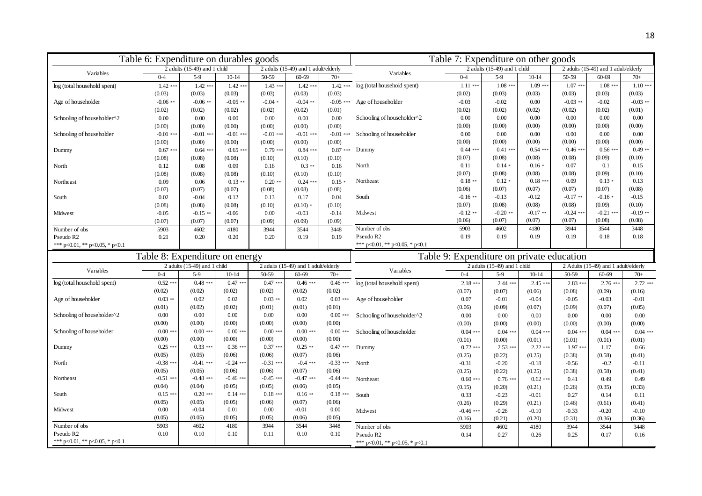| Table 6: Expenditure on durables goods              |                                                                        |                                |             |             |                                      | Table 7: Expenditure on other goods |                                        |                                           |                                      |           |                |                                      |                |
|-----------------------------------------------------|------------------------------------------------------------------------|--------------------------------|-------------|-------------|--------------------------------------|-------------------------------------|----------------------------------------|-------------------------------------------|--------------------------------------|-----------|----------------|--------------------------------------|----------------|
|                                                     | 2 adults $(15-49)$ and 1 child<br>2 adults (15-49) and 1 adult/elderly |                                |             |             |                                      |                                     | 2 adults $(15-49)$ and 1 child         |                                           | 2 adults (15-49) and 1 adult/elderly |           |                |                                      |                |
| Variables                                           | $0 - 4$                                                                | $5-9$                          | $10 - 14$   | 50-59       | $60 - 69$                            | $70+$                               | Variables                              | $0 - 4$                                   | $5-9$                                | $10-14$   | 50-59          | $60 - 69$                            | $70+$          |
| log (total household spent)                         | $1.42***$                                                              | $1.42***$                      | $1.42***$   | $1.43***$   | $1.42***$                            |                                     | 1.42 *** log (total household spent)   | $1.11***$                                 | $1.08***$                            | $1.09**$  | $1.07***$      | $1.08$ **                            | $1.10***$      |
|                                                     | (0.03)                                                                 | (0.03)                         | (0.03)      | (0.03)      | (0.03)                               | (0.03)                              |                                        | (0.02)                                    | (0.03)                               | (0.03)    | (0.03)         | (0.03)                               | (0.03)         |
| Age of householder                                  | $-0.06$ **                                                             | $-0.06**$                      | $-0.05$ **  | $-0.04*$    | $-0.04$ **                           |                                     | -0.05 *** Age of householder           | $-0.03$                                   | $-0.02$                              | 0.00      | $-0.03$ **     | $-0.02$                              | $-0.03$ **     |
|                                                     | (0.02)                                                                 | (0.02)                         | (0.02)      | (0.02)      | (0.02)                               | (0.01)                              |                                        | (0.02)                                    | (0.02)                               | (0.02)    | (0.02)         | (0.02)                               | (0.01)         |
| Schooling of householder^2                          | 0.00                                                                   | 0.00                           | 0.00        | 0.00        | 0.00                                 | 0.00                                | Schooling of householder <sup>^2</sup> | 0.00                                      | 0.00                                 | 0.00      | 0.00           | 0.00                                 | 0.00           |
|                                                     | (0.00)                                                                 | (0.00)                         | (0.00)      | (0.00)      | (0.00)                               | (0.00)                              |                                        | (0.00)                                    | (0.00)                               | (0.00)    | (0.00)         | (0.00)                               | (0.00)         |
| Schooling of householder                            | $-0.01$ ***                                                            | $-0.01$ ***                    | $-0.01$ *** | $-0.01$ *** | $-0.01$ ***                          | $-0.01$ ***                         | Schooling of householder               | 0.00                                      | 0.00                                 | 0.00      | 0.00           | 0.00                                 | 0.00           |
|                                                     | (0.00)                                                                 | (0.00)                         | (0.00)      | (0.00)      | (0.00)                               | (0.00)                              |                                        | (0.00)                                    | (0.00)                               | (0.00)    | (0.00)         | (0.00)                               | (0.00)         |
| Dummy                                               | $0.67***$                                                              | $0.64***$                      | $0.65***$   | $0.79***$   | $0.84***$                            |                                     | $0.87$ *** Dummy                       | $0.44***$                                 | $0.41***$                            | $0.54$ ** | $0.46***$      | $0.56***$                            | $0.49**$       |
|                                                     | (0.08)                                                                 | (0.08)                         | (0.08)      | (0.10)      | (0.10)                               | (0.10)                              |                                        | (0.07)                                    | (0.08)                               | (0.08)    | (0.08)         | (0.09)                               | (0.10)         |
| North                                               | 0.12                                                                   | 0.08                           | 0.09        | 0.16        | $0.3**$                              | 0.16                                | North                                  | 0.11                                      | $0.14*$                              | $0.16*$   | 0.07           | 0.1                                  | 0.15           |
|                                                     | (0.08)                                                                 | (0.08)                         | (0.08)      | (0.10)      | (0.10)                               | (0.10)                              |                                        | (0.07)                                    | (0.08)                               | (0.08)    | (0.08)         | (0.09)                               | (0.10)         |
| Northeast                                           | 0.09                                                                   | 0.06                           | $0.13**$    | $0.20**$    | $0.24***$                            | 0.15                                | Northeast                              | $0.18**$                                  | $0.12*$                              | $0.18***$ | 0.09           | $0.13*$                              | 0.13           |
|                                                     | (0.07)                                                                 | (0.07)                         | (0.07)      | (0.08)      | (0.08)                               | (0.08)                              |                                        | (0.06)                                    | (0.07)                               | (0.07)    | (0.07)         | (0.07)                               | (0.08)         |
| South                                               | 0.02                                                                   | $-0.04$                        | 0.12        | 0.13        | 0.17                                 | 0.04                                | South                                  | $-0.16**$                                 | $-0.13$                              | $-0.12$   | $-0.17**$      | $-0.16*$                             | $-0.15$        |
|                                                     | (0.08)                                                                 | (0.08)                         | (0.08)      | (0.10)      | $(0.10)$ *                           | (0.10)                              |                                        | (0.07)                                    | (0.08)                               | (0.08)    | (0.08)         | (0.09)                               | (0.10)         |
| Midwest                                             | $-0.05$                                                                | $-0.15**$                      | $-0.06$     | 0.00        | $-0.03$                              | $-0.14$                             | Midwest                                | $-0.12**$                                 | $-0.20$ **                           | $-0.17**$ | $-0.24$ ***    | $-0.21$ ***                          | $-0.19**$      |
|                                                     | (0.07)                                                                 | (0.07)                         | (0.07)      | (0.09)      | (0.09)                               | (0.09)                              |                                        | (0.06)                                    | (0.07)                               | (0.07)    | (0.07)         | (0.08)                               | (0.08)         |
| Number of obs                                       | 5903                                                                   | 4602                           | 4180        | 3944        | 3544                                 | 3448                                | Number of obs                          | 5903                                      | 4602                                 | 4180      | 3944           | 3544                                 | 3448           |
| Pseudo R2                                           | 0.21                                                                   | 0.20                           | 0.20        | 0.20        | 0.19                                 | 0.19                                | Pseudo R2                              | 0.19                                      | 0.19                                 | 0.19      | 0.19           | 0.18                                 | 0.18           |
| *** $p<0.01$ , ** $p<0.05$ , * $p<0.1$              |                                                                        |                                |             |             |                                      |                                     | *** $p<0.01$ , ** $p<0.05$ , * $p<0.1$ |                                           |                                      |           |                |                                      |                |
|                                                     |                                                                        |                                |             |             |                                      |                                     |                                        |                                           |                                      |           |                |                                      |                |
|                                                     | Table 8: Expenditure on energy                                         |                                |             |             |                                      |                                     |                                        | Table 9: Expenditure on private education |                                      |           |                |                                      |                |
|                                                     |                                                                        | $2$ adults (15-49) and 1 child |             |             | 2 adults (15-49) and 1 adult/elderly |                                     |                                        |                                           | 2 adults $(15-49)$ and 1 child       |           |                | 2 Adults (15-49) and 1 adult/elderly |                |
| Variables                                           | $0 - 4$                                                                | $5-9$                          | $10 - 14$   | 50-59       | 60-69                                | $70+$                               | Variables                              | $0 - 4$                                   | $5-9$                                | $10 - 14$ | 50-59          | $60 - 69$                            | $70+$          |
| log (total household spent)                         | $0.52***$                                                              | $0.48***$                      | $0.47***$   | $0.47***$   | $0.46***$                            | $0.46***$                           |                                        | $2.18***$                                 | $2.44***$                            | $2.45***$ | $2.83***$      | $2.76$ **                            | $2.72***$      |
|                                                     | (0.02)                                                                 | (0.02)                         | (0.02)      | (0.02)      | (0.02)                               | (0.02)                              | log (total household spent)            | (0.07)                                    | (0.07)                               | (0.06)    | (0.08)         | (0.09)                               | (0.16)         |
| Age of householder                                  | $0.03**$                                                               | 0.02                           | 0.02        | $0.03$ **   | 0.02                                 | $0.03***$                           | Age of householder                     | 0.07                                      | $-0.01$                              | $-0.04$   | $-0.05$        | $-0.03$                              | $-0.01$        |
|                                                     | (0.01)                                                                 | (0.02)                         | (0.02)      | (0.01)      | (0.01)                               | (0.01)                              |                                        | (0.06)                                    | (0.09)                               | (0.07)    |                |                                      |                |
|                                                     | 0.00                                                                   | 0.00                           | 0.00        | 0.00        | 0.00                                 | $0.00***$                           |                                        |                                           | 0.00                                 | 0.00      | (0.09)         | (0.07)                               | (0.05)         |
| Schooling of householder^2                          | (0.00)                                                                 | (0.00)                         | (0.00)      | (0.00)      | (0.00)                               | (0.00)                              | Schooling of householder <sup>^2</sup> | 0.00<br>(0.00)                            | (0.00)                               | (0.00)    | 0.00<br>(0.00) | 0.00<br>(0.00)                       | 0.00<br>(0.00) |
|                                                     | $0.00***$                                                              | $0.00***$                      | $0.00***$   | $0.00***$   | $0.00***$                            | $0.00***$                           |                                        | $0.04***$                                 | $0.04***$                            | $0.04***$ | $0.04***$      | $0.04***$                            | $0.04***$      |
| Schooling of householder                            | (0.00)                                                                 | (0.00)                         | (0.00)      | (0.00)      | (0.00)                               | (0.00)                              | Schooling of householder               | (0.01)                                    | (0.00)                               | (0.01)    | (0.01)         | (0.01)                               | (0.01)         |
| Dummy                                               | $0.25***$                                                              | $0.33***$                      | $0.36***$   | $0.37***$   | $0.25$ **                            |                                     |                                        | $0.72$ ***                                | $2.53***$                            | $2.22***$ | $1.97***$      | 1.17                                 | 0.66           |
|                                                     | (0.05)                                                                 | (0.05)                         | (0.06)      | (0.06)      | (0.07)                               | (0.06)                              | 0.47 *** Dummy                         | (0.25)                                    | (0.22)                               | (0.25)    | (0.38)         | (0.58)                               | (0.41)         |
| North                                               | $-0.38$ ***                                                            | $-0.41$ ***                    | $-0.24$ *** | $-0.31***$  | $-0.4***$                            | $-0.33***$                          | North                                  | $-0.31$                                   | $-0.20$                              | $-0.18$   | $-0.56$        | $-0.2$                               | $-0.11$        |
|                                                     | (0.05)                                                                 | (0.05)                         | (0.06)      | (0.06)      | (0.07)                               | (0.06)                              |                                        | (0.25)                                    | (0.22)                               | (0.25)    | (0.38)         | (0.58)                               | (0.41)         |
| Northeast                                           | $-0.51$ ***                                                            | $-0.48$ ***                    | $-0.46$ *** | $-0.45$ *** | $-0.47$ ***                          | $-0.44$ ***                         | Northeast                              | $0.60***$                                 | $0.76***$                            | $0.62***$ | 0.41           | 0.49                                 | 0.49           |
|                                                     | (0.04)                                                                 | (0.04)                         | (0.05)      | (0.05)      | (0.06)                               | (0.05)                              |                                        | (0.15)                                    | (0.20)                               | (0.21)    | (0.26)         | (0.35)                               | (0.33)         |
| South                                               | $0.15***$                                                              | $0.20***$                      | $0.14***$   | $0.18***$   | $0.16**$                             | $0.18***$                           | South                                  | 0.33                                      | $-0.23$                              | $-0.01$   | 0.27           | 0.14                                 | 0.11           |
|                                                     | (0.05)                                                                 | (0.05)                         | (0.05)      | (0.06)      | (0.07)                               | (0.06)                              |                                        | (0.26)                                    | (0.29)                               | (0.21)    | (0.46)         | (0.61)                               | (0.41)         |
| Midwest                                             | 0.00                                                                   | $-0.04$                        | 0.01        | 0.00        | $-0.01$                              | 0.00                                | Midwest                                | $-0.46$ ***                               | $-0.26$                              | $-0.10$   | $-0.33$        | $-0.20$                              | $-0.10$        |
|                                                     | (0.05)                                                                 | (0.05)                         | (0.05)      | (0.05)      | (0.06)                               | (0.05)                              |                                        | (0.16)                                    | (0.21)                               | (0.20)    | (0.31)         | (0.36)                               | (0.36)         |
| Number of obs                                       | 5903                                                                   | 4602                           | 4180        | 3944        | 3544                                 | 3448                                | Number of obs                          | 5903                                      | 4602                                 | 4180      | 3944           | 3544                                 | 3448           |
| Pseudo R2<br>*** $p<0.01$ , ** $p<0.05$ , * $p<0.1$ | 0.10                                                                   | 0.10                           | 0.10        | 0.11        | 0.10                                 | 0.10                                | Pseudo R2                              | 0.14                                      | 0.27                                 | 0.26      | 0.25           | 0.17                                 | 0.16           |